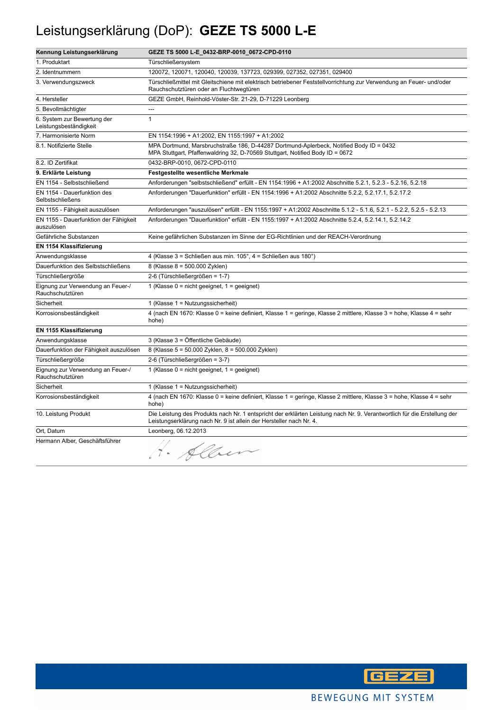#### Leistungserklärung (DoP): **GEZE TS 5000 L-E**

| Kennung Leistungserklärung                            | GEZE TS 5000 L-E_0432-BRP-0010_0672-CPD-0110                                                                                                                                                    |
|-------------------------------------------------------|-------------------------------------------------------------------------------------------------------------------------------------------------------------------------------------------------|
| 1. Produktart                                         | Türschließersystem                                                                                                                                                                              |
| 2. Identnummern                                       | 120072, 120071, 120040, 120039, 137723, 029399, 027352, 027351, 029400                                                                                                                          |
| 3. Verwendungszweck                                   | Türschließmittel mit Gleitschiene mit elektrisch betriebener Feststellvorrichtung zur Verwendung an Feuer- und/oder<br>Rauchschutztüren oder an Fluchtwegtüren                                  |
| 4. Hersteller                                         | GEZE GmbH, Reinhold-Vöster-Str. 21-29, D-71229 Leonberg                                                                                                                                         |
| 5. Bevollmächtigter                                   |                                                                                                                                                                                                 |
| 6. System zur Bewertung der<br>Leistungsbeständigkeit | $\mathbf{1}$                                                                                                                                                                                    |
| 7. Harmonisierte Norm                                 | EN 1154:1996 + A1:2002, EN 1155:1997 + A1:2002                                                                                                                                                  |
| 8.1. Notifizierte Stelle                              | MPA Dortmund, Marsbruchstraße 186, D-44287 Dortmund-Aplerbeck, Notified Body ID = 0432<br>MPA Stuttgart, Pfaffenwaldring 32, D-70569 Stuttgart, Notified Body ID = 0672                         |
| 8.2. ID Zertifikat                                    | 0432-BRP-0010, 0672-CPD-0110                                                                                                                                                                    |
| 9. Erklärte Leistung                                  | <b>Festgestellte wesentliche Merkmale</b>                                                                                                                                                       |
| EN 1154 - Selbstschließend                            | Anforderungen "selbstschließend" erfüllt - EN 1154:1996 + A1:2002 Abschnitte 5.2.1, 5.2.3 - 5.2.16, 5.2.18                                                                                      |
| EN 1154 - Dauerfunktion des<br>Selbstschließens       | Anforderungen "Dauerfunktion" erfüllt - EN 1154:1996 + A1:2002 Abschnitte 5.2.2, 5.2.17.1, 5.2.17.2                                                                                             |
| EN 1155 - Fähigkeit auszulösen                        | Anforderungen "auszulösen" erfüllt - EN 1155:1997 + A1:2002 Abschnitte 5.1.2 - 5.1.6, 5.2.1 - 5.2.2, 5.2.5 - 5.2.13                                                                             |
| EN 1155 - Dauerfunktion der Fähigkeit<br>auszulösen   | Anforderungen "Dauerfunktion" erfüllt - EN 1155:1997 + A1:2002 Abschnitte 5.2.4, 5.2.14.1, 5.2.14.2                                                                                             |
| Gefährliche Substanzen                                | Keine gefährlichen Substanzen im Sinne der EG-Richtlinien und der REACH-Verordnung                                                                                                              |
| EN 1154 Klassifizierung                               |                                                                                                                                                                                                 |
| Anwendungsklasse                                      | 4 (Klasse 3 = Schließen aus min. 105°, 4 = Schließen aus 180°)                                                                                                                                  |
| Dauerfunktion des Selbstschließens                    | 8 (Klasse 8 = 500.000 Zyklen)                                                                                                                                                                   |
| Türschließergröße                                     | 2-6 (Türschließergrößen = 1-7)                                                                                                                                                                  |
| Eignung zur Verwendung an Feuer-/<br>Rauchschutztüren | 1 (Klasse $0 = \text{nicht}$ geeignet, $1 = \text{geeignet}$ )                                                                                                                                  |
| Sicherheit                                            | 1 (Klasse $1 =$ Nutzungssicherheit)                                                                                                                                                             |
| Korrosionsbeständigkeit                               | 4 (nach EN 1670: Klasse 0 = keine definiert, Klasse 1 = geringe, Klasse 2 mittlere, Klasse 3 = hohe, Klasse 4 = sehr<br>hohe)                                                                   |
| EN 1155 Klassifizierung                               |                                                                                                                                                                                                 |
| Anwendungsklasse                                      | 3 (Klasse 3 = Öffentliche Gebäude)                                                                                                                                                              |
| Dauerfunktion der Fähigkeit auszulösen                | 8 (Klasse 5 = 50.000 Zyklen, 8 = 500.000 Zyklen)                                                                                                                                                |
| <b>Türschließergröße</b>                              | 2-6 (Türschließergrößen = 3-7)                                                                                                                                                                  |
| Eignung zur Verwendung an Feuer-/<br>Rauchschutztüren | 1 (Klasse $0 = \text{nicht}$ geeignet, $1 = \text{geeignet}$ )                                                                                                                                  |
| Sicherheit                                            | 1 (Klasse 1 = Nutzungssicherheit)                                                                                                                                                               |
| Korrosionsbeständigkeit                               | 4 (nach EN 1670: Klasse 0 = keine definiert, Klasse 1 = geringe, Klasse 2 mittlere, Klasse 3 = hohe, Klasse 4 = sehr<br>hohe)                                                                   |
| 10. Leistung Produkt                                  | Die Leistung des Produkts nach Nr. 1 entspricht der erklärten Leistung nach Nr. 9. Verantwortlich für die Erstellung der<br>Leistungserklärung nach Nr. 9 ist allein der Hersteller nach Nr. 4. |
| Ort, Datum                                            | Leonberg, 06.12.2013                                                                                                                                                                            |
| Hermann Alber, Geschäftsführer                        | 1. Alber                                                                                                                                                                                        |

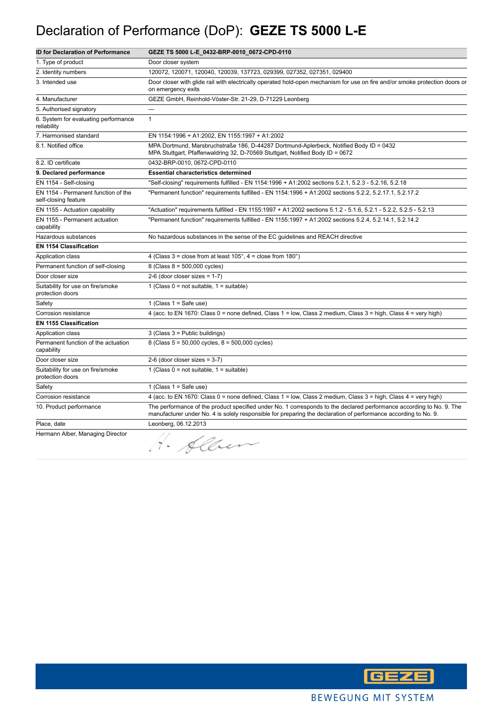## Declaration of Performance (DoP): **GEZE TS 5000 L-E**

| <b>ID for Declaration of Performance</b>                    | GEZE TS 5000 L-E_0432-BRP-0010_0672-CPD-0110                                                                                                                                                                                            |
|-------------------------------------------------------------|-----------------------------------------------------------------------------------------------------------------------------------------------------------------------------------------------------------------------------------------|
| 1. Type of product                                          | Door closer system                                                                                                                                                                                                                      |
| 2. Identity numbers                                         | 120072, 120071, 120040, 120039, 137723, 029399, 027352, 027351, 029400                                                                                                                                                                  |
| 3. Intended use                                             | Door closer with glide rail with electrically operated hold-open mechanism for use on fire and/or smoke protection doors or<br>on emergency exits                                                                                       |
| 4. Manufacturer                                             | GEZE GmbH, Reinhold-Vöster-Str. 21-29, D-71229 Leonberg                                                                                                                                                                                 |
| 5. Authorised signatory                                     | ---                                                                                                                                                                                                                                     |
| 6. System for evaluating performance<br>reliability         | $\mathbf{1}$                                                                                                                                                                                                                            |
| 7. Harmonised standard                                      | EN 1154:1996 + A1:2002, EN 1155:1997 + A1:2002                                                                                                                                                                                          |
| 8.1. Notified office                                        | MPA Dortmund, Marsbruchstraße 186, D-44287 Dortmund-Aplerbeck, Notified Body ID = 0432<br>MPA Stuttgart, Pfaffenwaldring 32, D-70569 Stuttgart, Notified Body ID = 0672                                                                 |
| 8.2. ID certificate                                         | 0432-BRP-0010, 0672-CPD-0110                                                                                                                                                                                                            |
| 9. Declared performance                                     | <b>Essential characteristics determined</b>                                                                                                                                                                                             |
| EN 1154 - Self-closing                                      | "Self-closing" requirements fulfilled - EN 1154:1996 + A1:2002 sections 5.2.1, 5.2.3 - 5.2.16, 5.2.18                                                                                                                                   |
| EN 1154 - Permanent function of the<br>self-closing feature | "Permanent function" requirements fulfilled - EN 1154:1996 + A1:2002 sections 5.2.2, 5.2.17.1, 5.2.17.2                                                                                                                                 |
| EN 1155 - Actuation capability                              | "Actuation" requirements fulfilled - EN 1155:1997 + A1:2002 sections 5.1.2 - 5.1.6, 5.2.1 - 5.2.2, 5.2.5 - 5.2.13                                                                                                                       |
| EN 1155 - Permanent actuation<br>capability                 | "Permanent function" requirements fulfilled - EN 1155:1997 + A1:2002 sections 5.2.4, 5.2.14.1, 5.2.14.2                                                                                                                                 |
| Hazardous substances                                        | No hazardous substances in the sense of the EC guidelines and REACH directive                                                                                                                                                           |
| <b>EN 1154 Classification</b>                               |                                                                                                                                                                                                                                         |
| Application class                                           | 4 (Class $3 =$ close from at least $105^\circ$ , $4 =$ close from $180^\circ$ )                                                                                                                                                         |
| Permanent function of self-closing                          | 8 (Class 8 = 500,000 cycles)                                                                                                                                                                                                            |
| Door closer size                                            | 2-6 (door closer sizes = $1-7$ )                                                                                                                                                                                                        |
| Suitability for use on fire/smoke<br>protection doors       | 1 (Class $0 = not suitable$ , $1 = suitable$ )                                                                                                                                                                                          |
| Safety                                                      | 1 (Class $1 =$ Safe use)                                                                                                                                                                                                                |
| Corrosion resistance                                        | 4 (acc. to EN 1670: Class 0 = none defined, Class 1 = low, Class 2 medium, Class 3 = high, Class 4 = very high)                                                                                                                         |
| <b>EN 1155 Classification</b>                               |                                                                                                                                                                                                                                         |
| Application class                                           | 3 (Class 3 = Public buildings)                                                                                                                                                                                                          |
| Permanent function of the actuation<br>capability           | 8 (Class $5 = 50,000$ cycles, $8 = 500,000$ cycles)                                                                                                                                                                                     |
| Door closer size                                            | $2-6$ (door closer sizes = 3-7)                                                                                                                                                                                                         |
| Suitability for use on fire/smoke<br>protection doors       | 1 (Class $0 = not suitable$ , $1 = suitable$ )                                                                                                                                                                                          |
| Safety                                                      | 1 (Class $1 =$ Safe use)                                                                                                                                                                                                                |
| Corrosion resistance                                        | 4 (acc. to EN 1670: Class 0 = none defined, Class 1 = low, Class 2 medium, Class 3 = high, Class 4 = very high)                                                                                                                         |
| 10. Product performance                                     | The performance of the product specified under No. 1 corresponds to the declared performance according to No. 9. The<br>manufacturer under No. 4 is solely responsible for preparing the declaration of performance according to No. 9. |
| Place, date                                                 | Leonberg, 06.12.2013                                                                                                                                                                                                                    |
| Hermann Alber, Managing Director                            | · Alber                                                                                                                                                                                                                                 |

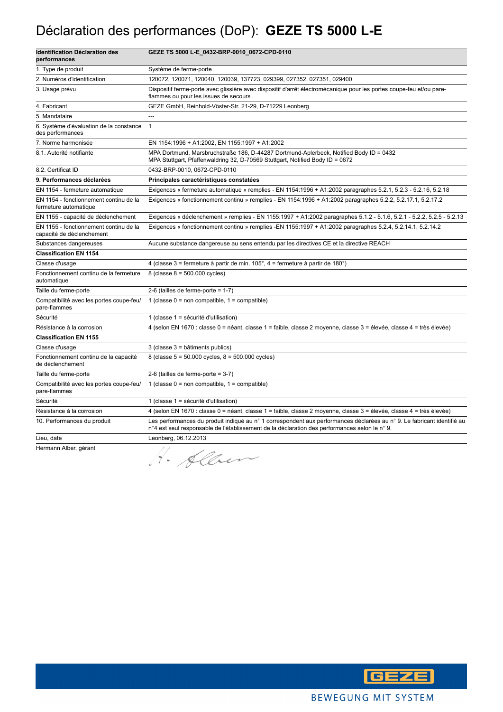## Déclaration des performances (DoP): **GEZE TS 5000 L-E**

| <b>Identification Déclaration des</b><br>performances               | GEZE TS 5000 L-E_0432-BRP-0010_0672-CPD-0110                                                                                                                                                                            |
|---------------------------------------------------------------------|-------------------------------------------------------------------------------------------------------------------------------------------------------------------------------------------------------------------------|
| 1. Type de produit                                                  | Système de ferme-porte                                                                                                                                                                                                  |
| 2. Numéros d'identification                                         | 120072, 120071, 120040, 120039, 137723, 029399, 027352, 027351, 029400                                                                                                                                                  |
| 3. Usage prévu                                                      | Dispositif ferme-porte avec glissière avec dispositif d'arrêt électromécanique pour les portes coupe-feu et/ou pare-<br>flammes ou pour les issues de secours                                                           |
| 4. Fabricant                                                        | GEZE GmbH, Reinhold-Vöster-Str. 21-29, D-71229 Leonberg                                                                                                                                                                 |
| 5. Mandataire                                                       | $\overline{a}$                                                                                                                                                                                                          |
| 6. Système d'évaluation de la constance<br>des performances         | $\mathbf{1}$                                                                                                                                                                                                            |
| 7. Norme harmonisée                                                 | EN 1154:1996 + A1:2002, EN 1155:1997 + A1:2002                                                                                                                                                                          |
| 8.1. Autorité notifiante                                            | MPA Dortmund, Marsbruchstraße 186, D-44287 Dortmund-Aplerbeck, Notified Body ID = 0432<br>MPA Stuttgart, Pfaffenwaldring 32, D-70569 Stuttgart, Notified Body ID = 0672                                                 |
| 8.2. Certificat ID                                                  | 0432-BRP-0010, 0672-CPD-0110                                                                                                                                                                                            |
| 9. Performances déclarées                                           | Principales caractéristiques constatées                                                                                                                                                                                 |
| EN 1154 - fermeture automatique                                     | Exigences « fermeture automatique » remplies - EN 1154:1996 + A1:2002 paragraphes 5.2.1, 5.2.3 - 5.2.16, 5.2.18                                                                                                         |
| EN 1154 - fonctionnement continu de la<br>fermeture automatique     | Exigences « fonctionnement continu » remplies - EN 1154:1996 + A1:2002 paragraphes 5.2.2, 5.2.17.1, 5.2.17.2                                                                                                            |
| EN 1155 - capacité de déclenchement                                 | Exigences « déclenchement » remplies - EN 1155:1997 + A1:2002 paragraphes 5.1.2 - 5.1.6, 5.2.1 - 5.2.2, 5.2.5 - 5.2.13                                                                                                  |
| EN 1155 - fonctionnement continu de la<br>capacité de déclenchement | Exigences « fonctionnement continu » remplies -EN 1155:1997 + A1:2002 paragraphes 5.2.4, 5.2.14.1, 5.2.14.2                                                                                                             |
| Substances dangereuses                                              | Aucune substance dangereuse au sens entendu par les directives CE et la directive REACH                                                                                                                                 |
| <b>Classification EN 1154</b>                                       |                                                                                                                                                                                                                         |
| Classe d'usage                                                      | 4 (classe 3 = fermeture à partir de min. 105°, 4 = fermeture à partir de 180°)                                                                                                                                          |
| Fonctionnement continu de la fermeture<br>automatique               | 8 (classe $8 = 500.000$ cycles)                                                                                                                                                                                         |
| Taille du ferme-porte                                               | 2-6 (tailles de ferme-porte = $1-7$ )                                                                                                                                                                                   |
| Compatibilité avec les portes coupe-feu/<br>pare-flammes            | 1 (classe $0 =$ non compatible, $1 =$ compatible)                                                                                                                                                                       |
| Sécurité                                                            | 1 (classe 1 = sécurité d'utilisation)                                                                                                                                                                                   |
| Résistance à la corrosion                                           | 4 (selon EN 1670 : classe 0 = néant, classe 1 = faible, classe 2 moyenne, classe 3 = élevée, classe 4 = très élevée)                                                                                                    |
| <b>Classification EN 1155</b>                                       |                                                                                                                                                                                                                         |
| Classe d'usage                                                      | 3 (classe 3 = bâtiments publics)                                                                                                                                                                                        |
| Fonctionnement continu de la capacité<br>de déclenchement           | 8 (classe $5 = 50.000$ cycles, $8 = 500.000$ cycles)                                                                                                                                                                    |
| Taille du ferme-porte                                               | 2-6 (tailles de ferme-porte = $3-7$ )                                                                                                                                                                                   |
| Compatibilité avec les portes coupe-feu/<br>pare-flammes            | 1 (classe $0 =$ non compatible, $1 =$ compatible)                                                                                                                                                                       |
| Sécurité                                                            | 1 (classe 1 = sécurité d'utilisation)                                                                                                                                                                                   |
| Résistance à la corrosion                                           | 4 (selon EN 1670 : classe 0 = néant, classe 1 = faible, classe 2 moyenne, classe 3 = élevée, classe 4 = très élevée)                                                                                                    |
| 10. Performances du produit                                         | Les performances du produit indiqué au n° 1 correspondent aux performances déclarées au n° 9. Le fabricant identifié au<br>n°4 est seul responsable de l'établissement de la déclaration des performances selon le n°9. |
| Lieu, date                                                          | Leonberg, 06.12.2013                                                                                                                                                                                                    |
| Hermann Alber, gérant                                               | Albert                                                                                                                                                                                                                  |

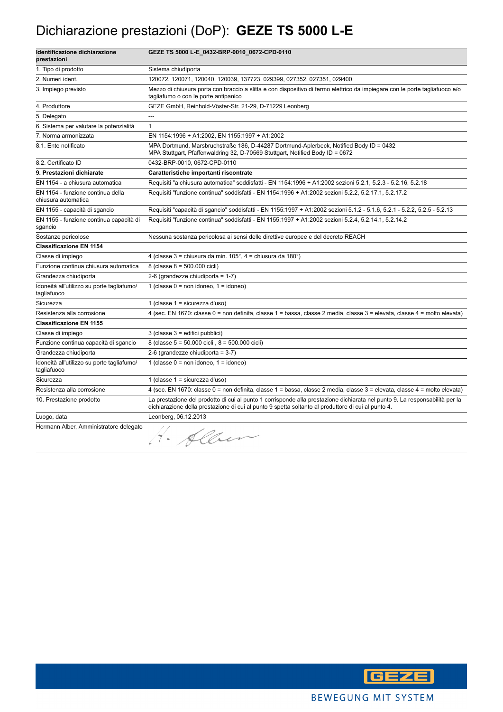#### Dichiarazione prestazioni (DoP): **GEZE TS 5000 L-E**

| Identificazione dichiarazione<br>prestazioni              | GEZE TS 5000 L-E_0432-BRP-0010_0672-CPD-0110                                                                                                                                                                                      |
|-----------------------------------------------------------|-----------------------------------------------------------------------------------------------------------------------------------------------------------------------------------------------------------------------------------|
| 1. Tipo di prodotto                                       | Sistema chiudiporta                                                                                                                                                                                                               |
| 2. Numeri ident.                                          | 120072, 120071, 120040, 120039, 137723, 029399, 027352, 027351, 029400                                                                                                                                                            |
| 3. Impiego previsto                                       | Mezzo di chiusura porta con braccio a slitta e con dispositivo di fermo elettrico da impiegare con le porte tagliafuoco e/o<br>tagliafumo o con le porte antipanico                                                               |
| 4. Produttore                                             | GEZE GmbH, Reinhold-Vöster-Str. 21-29, D-71229 Leonberg                                                                                                                                                                           |
| 5. Delegato                                               | $\sim$                                                                                                                                                                                                                            |
| 6. Sistema per valutare la potenzialità                   | $\mathbf{1}$                                                                                                                                                                                                                      |
| 7. Norma armonizzata                                      | EN 1154:1996 + A1:2002, EN 1155:1997 + A1:2002                                                                                                                                                                                    |
| 8.1. Ente notificato                                      | MPA Dortmund, Marsbruchstraße 186, D-44287 Dortmund-Aplerbeck, Notified Body ID = 0432<br>MPA Stuttgart, Pfaffenwaldring 32, D-70569 Stuttgart, Notified Body ID = 0672                                                           |
| 8.2. Certificato ID                                       | 0432-BRP-0010, 0672-CPD-0110                                                                                                                                                                                                      |
| 9. Prestazioni dichiarate                                 | Caratteristiche importanti riscontrate                                                                                                                                                                                            |
| EN 1154 - a chiusura automatica                           | Requisiti "a chiusura automatica" soddisfatti - EN 1154:1996 + A1:2002 sezioni 5.2.1, 5.2.3 - 5.2.16, 5.2.18                                                                                                                      |
| EN 1154 - funzione continua della<br>chiusura automatica  | Requisiti "funzione continua" soddisfatti - EN 1154:1996 + A1:2002 sezioni 5.2.2, 5.2.17.1, 5.2.17.2                                                                                                                              |
| EN 1155 - capacità di sgancio                             | Requisiti "capacità di sgancio" soddisfatti - EN 1155:1997 + A1:2002 sezioni 5.1.2 - 5.1.6, 5.2.1 - 5.2.2, 5.2.5 - 5.2.13                                                                                                         |
| EN 1155 - funzione continua capacità di<br>sgancio        | Requisiti "funzione continua" soddisfatti - EN 1155:1997 + A1:2002 sezioni 5.2.4, 5.2.14.1, 5.2.14.2                                                                                                                              |
| Sostanze pericolose                                       | Nessuna sostanza pericolosa ai sensi delle direttive europee e del decreto REACH                                                                                                                                                  |
| <b>Classificazione EN 1154</b>                            |                                                                                                                                                                                                                                   |
| Classe di impiego                                         | 4 (classe $3$ = chiusura da min. $105^\circ$ , $4$ = chiusura da $180^\circ$ )                                                                                                                                                    |
| Funzione continua chiusura automatica                     | 8 (classe 8 = 500.000 cicli)                                                                                                                                                                                                      |
| Grandezza chiudiporta                                     | 2-6 (grandezze chiudiporta = 1-7)                                                                                                                                                                                                 |
| Idoneità all'utilizzo su porte tagliafumo/<br>tagliafuoco | 1 (classe $0 = \text{non}$ idoneo, $1 = \text{idoneo}$ )                                                                                                                                                                          |
| Sicurezza                                                 | 1 (classe 1 = sicurezza d'uso)                                                                                                                                                                                                    |
| Resistenza alla corrosione                                | 4 (sec. EN 1670: classe 0 = non definita, classe 1 = bassa, classe 2 media, classe 3 = elevata, classe 4 = molto elevata)                                                                                                         |
| <b>Classificazione EN 1155</b>                            |                                                                                                                                                                                                                                   |
| Classe di impiego                                         | 3 (classe 3 = edifici pubblici)                                                                                                                                                                                                   |
| Funzione continua capacità di sgancio                     | 8 (classe 5 = 50.000 cicli, 8 = 500.000 cicli)                                                                                                                                                                                    |
| Grandezza chiudiporta                                     | 2-6 (grandezze chiudiporta = 3-7)                                                                                                                                                                                                 |
| Idoneità all'utilizzo su porte tagliafumo/<br>tagliafuoco | 1 (classe $0 = \text{non}$ idoneo, $1 = \text{idoneo}$ )                                                                                                                                                                          |
| Sicurezza                                                 | 1 (classe 1 = sicurezza d'uso)                                                                                                                                                                                                    |
| Resistenza alla corrosione                                | 4 (sec. EN 1670: classe 0 = non definita, classe 1 = bassa, classe 2 media, classe 3 = elevata, classe 4 = molto elevata)                                                                                                         |
| 10. Prestazione prodotto                                  | La prestazione del prodotto di cui al punto 1 corrisponde alla prestazione dichiarata nel punto 9. La responsabilità per la<br>dichiarazione della prestazione di cui al punto 9 spetta soltanto al produttore di cui al punto 4. |
| Luogo, data                                               | Leonberg, 06.12.2013                                                                                                                                                                                                              |
| Hermann Alber, Amministratore delegato                    | 4. Alben                                                                                                                                                                                                                          |

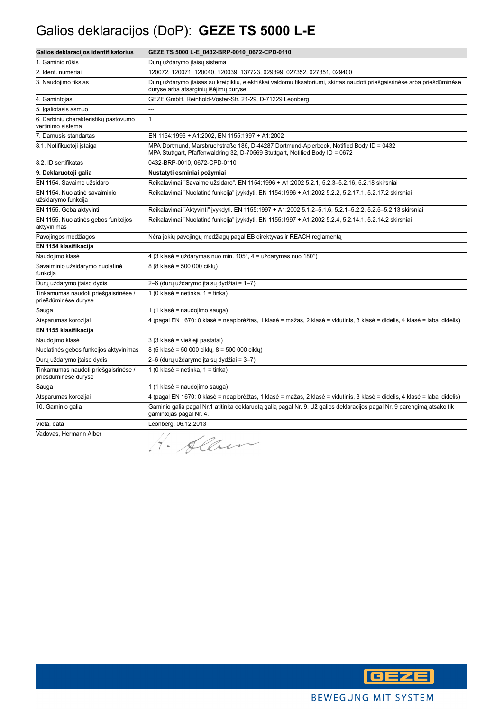# Galios deklaracijos (DoP): **GEZE TS 5000 L-E**

| Galios deklaracijos identifikatorius                         | GEZE TS 5000 L-E_0432-BRP-0010_0672-CPD-0110                                                                                                                            |
|--------------------------------------------------------------|-------------------------------------------------------------------------------------------------------------------------------------------------------------------------|
| 1. Gaminio rūšis                                             | Durų uždarymo įtaisų sistema                                                                                                                                            |
| 2. Ident. numeriai                                           | 120072, 120071, 120040, 120039, 137723, 029399, 027352, 027351, 029400                                                                                                  |
| 3. Naudojimo tikslas                                         | Durų uždarymo įtaisas su kreipikliu, elektriškai valdomu fiksatoriumi, skirtas naudoti priešgaisrinėse arba priešdūminėse<br>duryse arba atsarginių išėjimų duryse      |
| 4. Gamintojas                                                | GEZE GmbH, Reinhold-Vöster-Str. 21-29, D-71229 Leonberg                                                                                                                 |
| 5. Įgaliotasis asmuo                                         | $\overline{a}$                                                                                                                                                          |
| 6. Darbinių charakteristikų pastovumo<br>vertinimo sistema   | $\mathbf{1}$                                                                                                                                                            |
| 7. Darnusis standartas                                       | EN 1154:1996 + A1:2002, EN 1155:1997 + A1:2002                                                                                                                          |
| 8.1. Notifikuotoji įstaiga                                   | MPA Dortmund, Marsbruchstraße 186, D-44287 Dortmund-Aplerbeck, Notified Body ID = 0432<br>MPA Stuttgart, Pfaffenwaldring 32, D-70569 Stuttgart, Notified Body ID = 0672 |
| 8.2. ID sertifikatas                                         | 0432-BRP-0010, 0672-CPD-0110                                                                                                                                            |
| 9. Deklaruotoji galia                                        | Nustatyti esminiai požymiai                                                                                                                                             |
| EN 1154. Savaime užsidaro                                    | Reikalavimai "Savaime užsidaro". EN 1154:1996 + A1:2002 5.2.1, 5.2.3-5.2.16, 5.2.18 skirsniai                                                                           |
| EN 1154. Nuolatinė savaiminio<br>užsidarymo funkcija         | Reikalavimai "Nuolatinė funkcija" įvykdyti. EN 1154:1996 + A1:2002 5.2.2, 5.2.17.1, 5.2.17.2 skirsniai                                                                  |
| EN 1155. Geba aktyvinti                                      | Reikalavimai "Aktyvinti" įvykdyti. EN 1155:1997 + A1:2002 5.1.2-5.1.6, 5.2.1-5.2.2, 5.2.5-5.2.13 skirsniai                                                              |
| EN 1155. Nuolatinės gebos funkcijos<br>aktyvinimas           | Reikalavimai "Nuolatinė funkcija" įvykdyti. EN 1155:1997 + A1:2002 5.2.4, 5.2.14.1, 5.2.14.2 skirsniai                                                                  |
| Pavojingos medžiagos                                         | Nėra jokių pavojingų medžiagų pagal EB direktyvas ir REACH reglamentą                                                                                                   |
| EN 1154 klasifikacija                                        |                                                                                                                                                                         |
| Naudojimo klasė                                              | 4 (3 klasė = uždarymas nuo min. 105°, 4 = uždarymas nuo 180°)                                                                                                           |
| Savaiminio užsidarymo nuolatinė<br>funkcija                  | 8 (8 klasė = 500 000 cikly)                                                                                                                                             |
| Durų uždarymo įtaiso dydis                                   | 2-6 (durų uždarymo įtaisų dydžiai = 1-7)                                                                                                                                |
| Tinkamumas naudoti priešgaisrinėse /<br>priešdūminėse duryse | 1 (0 klasė = netinka, 1 = tinka)                                                                                                                                        |
| Sauga                                                        | 1 (1 klasė = naudojimo sauga)                                                                                                                                           |
| Atsparumas korozijai                                         | 4 (pagal EN 1670: 0 klasė = neapibrėžtas, 1 klasė = mažas, 2 klasė = vidutinis, 3 klasė = didelis, 4 klasė = labai didelis)                                             |
| EN 1155 klasifikacija                                        |                                                                                                                                                                         |
| Naudojimo klasė                                              | 3 (3 klasė = viešieji pastatai)                                                                                                                                         |
| Nuolatinės gebos funkcijos aktyvinimas                       | 8 (5 klasė = 50 000 cikly, 8 = 500 000 cikly)                                                                                                                           |
| Durų uždarymo įtaiso dydis                                   | 2-6 (durų uždarymo įtaisų dydžiai = 3-7)                                                                                                                                |
| Tinkamumas naudoti priešgaisrinėse /<br>priešdūminėse duryse | 1 (0 klasė = netinka, 1 = tinka)                                                                                                                                        |
| Sauga                                                        | 1 (1 klasė = naudojimo sauga)                                                                                                                                           |
| Atsparumas korozijai                                         | 4 (pagal EN 1670: 0 klasė = neapibrėžtas, 1 klasė = mažas, 2 klasė = vidutinis, 3 klasė = didelis, 4 klasė = labai didelis)                                             |
| 10. Gaminio galia                                            | Gaminio galia pagal Nr.1 atitinka deklaruota galia pagal Nr. 9. Už galios deklaracijos pagal Nr. 9 parengimą atsako tik<br>gamintojas pagal Nr. 4.                      |
| Vieta, data                                                  | Leonberg, 06.12.2013                                                                                                                                                    |
| Vadovas, Hermann Alber                                       | Albert<br>$\tilde{7}$ .                                                                                                                                                 |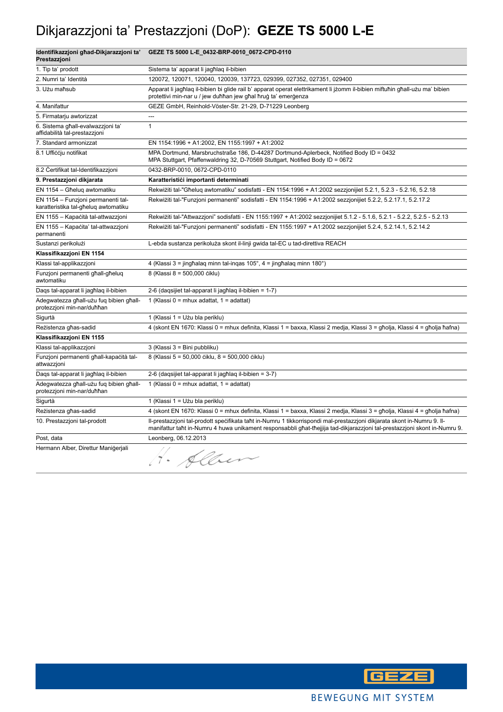## Dikjarazzjoni ta' Prestazzjoni (DoP): **GEZE TS 5000 L-E**

| Identifikazzjoni għad-Dikjarazzjoni ta'<br>Prestazzjoni                    | GEZE TS 5000 L-E_0432-BRP-0010_0672-CPD-0110                                                                                                                                                                                                         |
|----------------------------------------------------------------------------|------------------------------------------------------------------------------------------------------------------------------------------------------------------------------------------------------------------------------------------------------|
| 1. Tip ta' prodott                                                         | Sistema ta' apparat li jagħlag il-bibien                                                                                                                                                                                                             |
| 2. Numri ta' Identità                                                      | 120072, 120071, 120040, 120039, 137723, 029399, 027352, 027351, 029400                                                                                                                                                                               |
| 3. Użu maħsub                                                              | Apparat li jagħlaq il-bibien bi glide rail b' apparat operat elettrikament li jżomm il-bibien miftuħin għall-użu ma' bibien<br>protettivi min-nar u / jew duħħan jew għal ħruġ ta' emerġenza                                                         |
| 4. Manifattur                                                              | GEZE GmbH, Reinhold-Vöster-Str. 21-29, D-71229 Leonberg                                                                                                                                                                                              |
| 5. Firmatarju awtorizzat                                                   |                                                                                                                                                                                                                                                      |
| 6. Sistema għall-evalwazzjoni ta'<br>affidabilità tal-prestazzjoni         | $\mathbf{1}$                                                                                                                                                                                                                                         |
| 7. Standard armonizzat                                                     | EN 1154:1996 + A1:2002, EN 1155:1997 + A1:2002                                                                                                                                                                                                       |
| 8.1 Ufficcju notifikat                                                     | MPA Dortmund, Marsbruchstraße 186, D-44287 Dortmund-Aplerbeck, Notified Body ID = 0432<br>MPA Stuttgart, Pfaffenwaldring 32, D-70569 Stuttgart, Notified Body ID = 0672                                                                              |
| 8.2 Certifikat tal-Identifikazzjoni                                        | 0432-BRP-0010, 0672-CPD-0110                                                                                                                                                                                                                         |
| 9. Prestazzjoni dikjarata                                                  | Karatteristici importanti determinati                                                                                                                                                                                                                |
| EN 1154 - Għeluq awtomatiku                                                | Rekwiżiti tal-"Għeluq awtomatiku" sodisfatti - EN 1154:1996 + A1:2002 sezzjonijiet 5.2.1, 5.2.3 - 5.2.16, 5.2.18                                                                                                                                     |
| EN 1154 - Funzjoni permanenti tal-<br>karatteristika tal-għeluq awtomatiku | Rekwiżiti tal-"Funzjoni permanenti" sodisfatti - EN 1154:1996 + A1:2002 sezzjonijiet 5.2.2, 5.2.17.1, 5.2.17.2                                                                                                                                       |
| EN 1155 - Kapacità tal-attwazzjoni                                         | Rekwiżiti tal-"Attwazzjoni" sodisfatti - EN 1155:1997 + A1:2002 sezzjonijiet 5.1.2 - 5.1.6, 5.2.1 - 5.2.2, 5.2.5 - 5.2.13                                                                                                                            |
| EN 1155 - Kapačita' tal-attwazzjoni<br>permanenti                          | Rekwiżiti tal-"Funzjoni permanenti" sodisfatti - EN 1155:1997 + A1:2002 sezzjonijiet 5.2.4, 5.2.14.1, 5.2.14.2                                                                                                                                       |
| Sustanzi perikolużi                                                        | L-ebda sustanza perikoluża skont il-linji gwida tal-EC u tad-direttiva REACH                                                                                                                                                                         |
| Klassifikazzjoni EN 1154                                                   |                                                                                                                                                                                                                                                      |
| Klassi tal-applikazzjoni                                                   | 4 (Klassi 3 = jingħalaq minn tal-inqas 105°, 4 = jingħalaq minn 180°)                                                                                                                                                                                |
| Funzjoni permanenti għall-għeluq<br>awtomatiku                             | 8 (Klassi 8 = 500,000 čiklu)                                                                                                                                                                                                                         |
| Daqs tal-apparat li jagħlaq il-bibien                                      | 2-6 (daqsijiet tal-apparat li jagħlaq il-bibien = 1-7)                                                                                                                                                                                               |
| Adegwatezza għall-użu fuq bibien għall-<br>protezzjoni min-nar/duħħan      | 1 (Klassi 0 = mhux adattat, 1 = adattat)                                                                                                                                                                                                             |
| Sigurtà                                                                    | 1 (Klassi 1 = Užu bla periklu)                                                                                                                                                                                                                       |
| Rezistenza għas-sadid                                                      | 4 (skont EN 1670: Klassi 0 = mhux definita, Klassi 1 = baxxa, Klassi 2 medja, Klassi 3 = għolja, Klassi 4 = għolja ħafna)                                                                                                                            |
| Klassifikazzjoni EN 1155                                                   |                                                                                                                                                                                                                                                      |
| Klassi tal-applikazzjoni                                                   | 3 (Klassi 3 = Bini pubbliku)                                                                                                                                                                                                                         |
| Funzjoni permanenti ghall-kapacità tal-<br>attwazzjoni                     | 8 (Klassi 5 = 50,000 ciklu, 8 = 500,000 ciklu)                                                                                                                                                                                                       |
| Daqs tal-apparat li jagħlaq il-bibien                                      | 2-6 (daqsijiet tal-apparat li jagħlaq il-bibien = 3-7)                                                                                                                                                                                               |
| Adegwatezza għall-użu fuq bibien għall-<br>protezzjoni min-nar/duħħan      | 1 (Klassi 0 = mhux adattat, $1 =$ adattat)                                                                                                                                                                                                           |
| Sigurtà                                                                    | 1 (Klassi 1 = Użu bla periklu)                                                                                                                                                                                                                       |
| Reżistenza għas-sadid                                                      | 4 (skont EN 1670: Klassi 0 = mhux definita, Klassi 1 = baxxa, Klassi 2 medja, Klassi 3 = għolja, Klassi 4 = għolja ħafna)                                                                                                                            |
| 10. Prestazzjoni tal-prodott                                               | II-prestazzjoni tal-prodott specifikata taht in-Numru 1 tikkorrispondi mal-prestazzjoni dikjarata skont in-Numru 9. II-<br>manifattur taht in-Numru 4 huwa unikament responsabbli ghat-thejjija tad-dikjarazzjoni tal-prestazzjoni skont in-Numru 9. |
| Post, data                                                                 | Leonberg, 06.12.2013                                                                                                                                                                                                                                 |
| Hermann Alber, Direttur Manigerjali                                        | · Alber                                                                                                                                                                                                                                              |

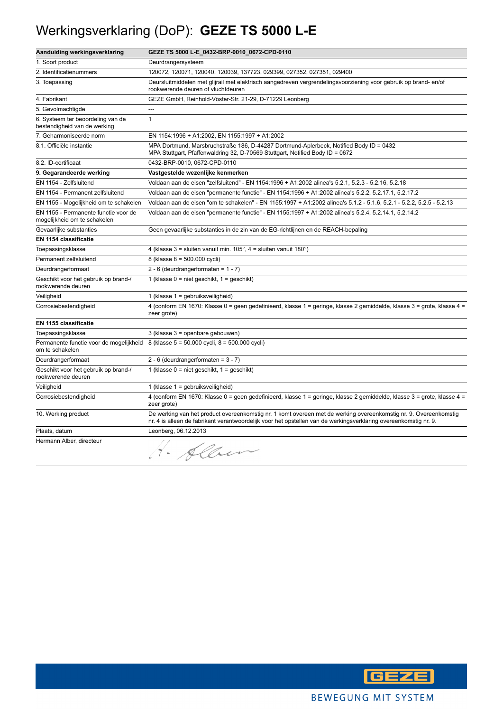## Werkingsverklaring (DoP): **GEZE TS 5000 L-E**

| Aanduiding werkingsverklaring                                        | GEZE TS 5000 L-E_0432-BRP-0010_0672-CPD-0110                                                                                                                                                                                         |
|----------------------------------------------------------------------|--------------------------------------------------------------------------------------------------------------------------------------------------------------------------------------------------------------------------------------|
| 1. Soort product                                                     | Deurdrangersysteem                                                                                                                                                                                                                   |
| 2. Identificatienummers                                              | 120072, 120071, 120040, 120039, 137723, 029399, 027352, 027351, 029400                                                                                                                                                               |
| 3. Toepassing                                                        | Deursluitmiddelen met glijrail met elektrisch aangedreven vergrendelingsvoorziening voor gebruik op brand-en/of<br>rookwerende deuren of vluchtdeuren                                                                                |
| 4. Fabrikant                                                         | GEZE GmbH, Reinhold-Vöster-Str. 21-29, D-71229 Leonberg                                                                                                                                                                              |
| 5. Gevolmachtigde                                                    | $\overline{a}$                                                                                                                                                                                                                       |
| 6. Systeem ter beoordeling van de<br>bestendigheid van de werking    | $\mathbf{1}$                                                                                                                                                                                                                         |
| 7. Geharmoniseerde norm                                              | EN 1154:1996 + A1:2002, EN 1155:1997 + A1:2002                                                                                                                                                                                       |
| 8.1. Officiële instantie                                             | MPA Dortmund, Marsbruchstraße 186, D-44287 Dortmund-Aplerbeck, Notified Body ID = 0432<br>MPA Stuttgart, Pfaffenwaldring 32, D-70569 Stuttgart, Notified Body ID = 0672                                                              |
| 8.2. ID-certificaat                                                  | 0432-BRP-0010, 0672-CPD-0110                                                                                                                                                                                                         |
| 9. Gegarandeerde werking                                             | Vastgestelde wezenlijke kenmerken                                                                                                                                                                                                    |
| EN 1154 - Zelfsluitend                                               | Voldaan aan de eisen "zelfsluitend" - EN 1154:1996 + A1:2002 alinea's 5.2.1, 5.2.3 - 5.2.16, 5.2.18                                                                                                                                  |
| EN 1154 - Permanent zelfsluitend                                     | Voldaan aan de eisen "permanente functie" - EN 1154:1996 + A1:2002 alinea's 5.2.2, 5.2.17.1, 5.2.17.2                                                                                                                                |
| EN 1155 - Mogelijkheid om te schakelen                               | Voldaan aan de eisen "om te schakelen" - EN 1155:1997 + A1:2002 alinea's 5.1.2 - 5.1.6, 5.2.1 - 5.2.2, 5.2.5 - 5.2.13                                                                                                                |
| EN 1155 - Permanente functie voor de<br>mogelijkheid om te schakelen | Voldaan aan de eisen "permanente functie" - EN 1155:1997 + A1:2002 alinea's 5.2.4, 5.2.14.1, 5.2.14.2                                                                                                                                |
| Gevaarlijke substanties                                              | Geen gevaarlijke substanties in de zin van de EG-richtlijnen en de REACH-bepaling                                                                                                                                                    |
| EN 1154 classificatie                                                |                                                                                                                                                                                                                                      |
| Toepassingsklasse                                                    | 4 (klasse $3 =$ sluiten vanuit min. $105^\circ$ , $4 =$ sluiten vanuit $180^\circ$ )                                                                                                                                                 |
| Permanent zelfsluitend                                               | 8 (klasse 8 = 500.000 cycli)                                                                                                                                                                                                         |
| Deurdrangerformaat                                                   | 2 - 6 (deurdrangerformaten = $1 - 7$ )                                                                                                                                                                                               |
| Geschikt voor het gebruik op brand-/<br>rookwerende deuren           | 1 (klasse $0 =$ niet geschikt, $1 =$ geschikt)                                                                                                                                                                                       |
| Veiligheid                                                           | 1 (klasse 1 = gebruiksveiligheid)                                                                                                                                                                                                    |
| Corrosiebestendigheid                                                | 4 (conform EN 1670: Klasse 0 = geen gedefinieerd, klasse 1 = geringe, klasse 2 gemiddelde, klasse 3 = grote, klasse 4 =<br>zeer grote)                                                                                               |
| EN 1155 classificatie                                                |                                                                                                                                                                                                                                      |
| Toepassingsklasse                                                    | 3 (klasse 3 = openbare gebouwen)                                                                                                                                                                                                     |
| om te schakelen                                                      | Permanente functie voor de mogelijkheid 8 (klasse 5 = 50.000 cycli, 8 = 500.000 cycli)                                                                                                                                               |
| Deurdrangerformaat                                                   | 2 - 6 (deurdrangerformaten = $3 - 7$ )                                                                                                                                                                                               |
| Geschikt voor het gebruik op brand-/<br>rookwerende deuren           | 1 (klasse $0 =$ niet geschikt, $1 =$ geschikt)                                                                                                                                                                                       |
| Veiligheid                                                           | 1 (klasse 1 = gebruiksveiligheid)                                                                                                                                                                                                    |
| Corrosiebestendigheid                                                | 4 (conform EN 1670: Klasse 0 = geen gedefinieerd, klasse 1 = geringe, klasse 2 gemiddelde, klasse 3 = grote, klasse 4 =<br>zeer grote)                                                                                               |
| 10. Werking product                                                  | De werking van het product overeenkomstig nr. 1 komt overeen met de werking overeenkomstig nr. 9. Overeenkomstig<br>nr. 4 is alleen de fabrikant verantwoordelijk voor het opstellen van de werkingsverklaring overeenkomstig nr. 9. |
| Plaats, datum                                                        | Leonberg, 06.12.2013                                                                                                                                                                                                                 |
| Hermann Alber, directeur                                             | 1. Allen                                                                                                                                                                                                                             |

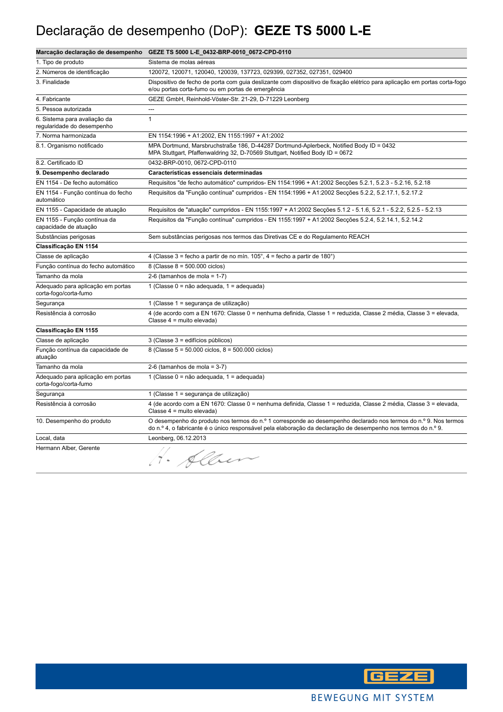## Declaração de desempenho (DoP): **GEZE TS 5000 L-E**

|                                                            | Marcação declaração de desempenho GEZE TS 5000 L-E_0432-BRP-0010_0672-CPD-0110                                                                                                                                                   |
|------------------------------------------------------------|----------------------------------------------------------------------------------------------------------------------------------------------------------------------------------------------------------------------------------|
| 1. Tipo de produto                                         | Sistema de molas aéreas                                                                                                                                                                                                          |
| 2. Números de identificação                                | 120072, 120071, 120040, 120039, 137723, 029399, 027352, 027351, 029400                                                                                                                                                           |
| 3. Finalidade                                              | Dispositivo de fecho de porta com guia deslizante com dispositivo de fixação elétrico para aplicação em portas corta-fogo<br>e/ou portas corta-fumo ou em portas de emergência                                                   |
| 4. Fabricante                                              | GEZE GmbH, Reinhold-Vöster-Str. 21-29, D-71229 Leonberg                                                                                                                                                                          |
| 5. Pessoa autorizada                                       |                                                                                                                                                                                                                                  |
| 6. Sistema para avaliação da<br>regularidade do desempenho | $\mathbf{1}$                                                                                                                                                                                                                     |
| 7. Norma harmonizada                                       | EN 1154:1996 + A1:2002, EN 1155:1997 + A1:2002                                                                                                                                                                                   |
| 8.1. Organismo notificado                                  | MPA Dortmund, Marsbruchstraße 186, D-44287 Dortmund-Aplerbeck, Notified Body ID = 0432<br>MPA Stuttgart, Pfaffenwaldring 32, D-70569 Stuttgart, Notified Body ID = 0672                                                          |
| 8.2. Certificado ID                                        | 0432-BRP-0010, 0672-CPD-0110                                                                                                                                                                                                     |
| 9. Desempenho declarado                                    | Características essenciais determinadas                                                                                                                                                                                          |
| EN 1154 - De fecho automático                              | Requisitos "de fecho automático" cumpridos- EN 1154:1996 + A1:2002 Secções 5.2.1, 5.2.3 - 5.2.16, 5.2.18                                                                                                                         |
| EN 1154 - Função contínua do fecho<br>automático           | Requisitos da "Função contínua" cumpridos - EN 1154:1996 + A1:2002 Secções 5.2.2, 5.2.17.1, 5.2.17.2                                                                                                                             |
| EN 1155 - Capacidade de atuação                            | Requisitos de "atuação" cumpridos - EN 1155:1997 + A1:2002 Secções 5.1.2 - 5.1.6, 5.2.1 - 5.2.2, 5.2.5 - 5.2.13                                                                                                                  |
| EN 1155 - Função contínua da<br>capacidade de atuação      | Requisitos da "Função contínua" cumpridos - EN 1155:1997 + A1:2002 Secções 5.2.4, 5.2.14.1, 5.2.14.2                                                                                                                             |
| Substâncias perigosas                                      | Sem substâncias perigosas nos termos das Diretivas CE e do Regulamento REACH                                                                                                                                                     |
| Classificação EN 1154                                      |                                                                                                                                                                                                                                  |
| Classe de aplicação                                        | 4 (Classe $3$ = fecho a partir de no mín. $105^\circ$ , $4$ = fecho a partir de 180 $^\circ$ )                                                                                                                                   |
| Função contínua do fecho automático                        | 8 (Classe $8 = 500.000$ ciclos)                                                                                                                                                                                                  |
| Tamanho da mola                                            | 2-6 (tamanhos de mola = $1-7$ )                                                                                                                                                                                                  |
| Adequado para aplicação em portas<br>corta-fogo/corta-fumo | 1 (Classe 0 = não adeguada, 1 = adeguada)                                                                                                                                                                                        |
| Segurança                                                  | 1 (Classe 1 = segurança de utilização)                                                                                                                                                                                           |
| Resistência à corrosão                                     | 4 (de acordo com a EN 1670: Classe 0 = nenhuma definida, Classe 1 = reduzida, Classe 2 média, Classe 3 = elevada,<br>Classe 4 = muito elevada)                                                                                   |
| Classificação EN 1155                                      |                                                                                                                                                                                                                                  |
| Classe de aplicação                                        | 3 (Classe 3 = edifícios públicos)                                                                                                                                                                                                |
| Função contínua da capacidade de<br>atuação                | 8 (Classe 5 = 50.000 ciclos, 8 = 500.000 ciclos)                                                                                                                                                                                 |
| Tamanho da mola                                            | 2-6 (tamanhos de mola = $3-7$ )                                                                                                                                                                                                  |
| Adequado para aplicação em portas<br>corta-fogo/corta-fumo | 1 (Classe 0 = não adequada, 1 = adequada)                                                                                                                                                                                        |
| Segurança                                                  | 1 (Classe 1 = segurança de utilização)                                                                                                                                                                                           |
| Resistência à corrosão                                     | 4 (de acordo com a EN 1670: Classe 0 = nenhuma definida, Classe 1 = reduzida, Classe 2 média, Classe 3 = elevada,<br>Classe 4 = muito elevada)                                                                                   |
| 10. Desempenho do produto                                  | O desempenho do produto nos termos do n.º 1 corresponde ao desempenho declarado nos termos do n.º 9. Nos termos<br>do n.º 4, o fabricante é o único responsável pela elaboração da declaração de desempenho nos termos do n.º 9. |
| Local, data                                                | Leonberg, 06.12.2013                                                                                                                                                                                                             |
| Hermann Alber, Gerente                                     | 1. Alber                                                                                                                                                                                                                         |

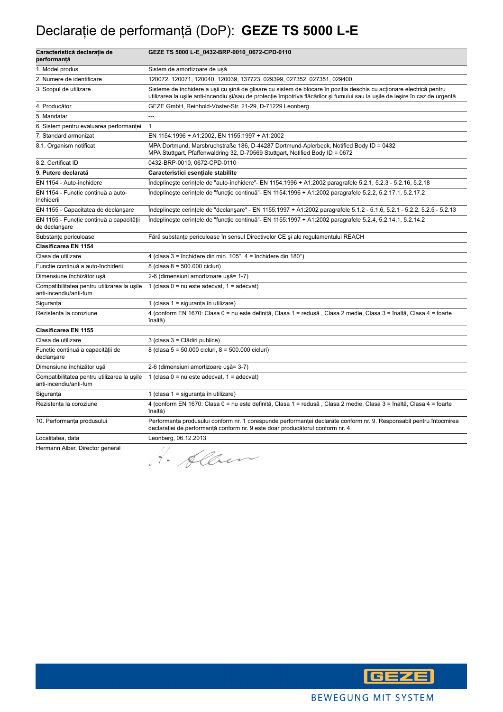# Declaraţie de performanţă (DoP): **GEZE TS 5000 L-E**

| Caracteristică declarație de<br>performanță                           | GEZE TS 5000 L-E_0432-BRP-0010_0672-CPD-0110                                                                                                                                                                                                           |
|-----------------------------------------------------------------------|--------------------------------------------------------------------------------------------------------------------------------------------------------------------------------------------------------------------------------------------------------|
| 1. Model produs                                                       | Sistem de amortizoare de uşă                                                                                                                                                                                                                           |
| 2. Numere de identificare                                             | 120072, 120071, 120040, 120039, 137723, 029399, 027352, 027351, 029400                                                                                                                                                                                 |
| 3. Scopul de utilizare                                                | Sisteme de închidere a ușii cu șină de glisare cu sistem de blocare în poziția deschis cu acționare electrică pentru<br>utilizarea la ușile anti-incendiu și/sau de protecție împotriva flăcărilor și fumului sau la ușile de ieșire în caz de urgență |
| 4. Producător                                                         | GEZE GmbH, Reinhold-Vöster-Str. 21-29, D-71229 Leonberg                                                                                                                                                                                                |
| 5. Mandatar                                                           | $\overline{a}$                                                                                                                                                                                                                                         |
| 6. Sistem pentru evaluarea performanței                               | $\mathbf{1}$                                                                                                                                                                                                                                           |
| 7. Standard armonizat                                                 | EN 1154:1996 + A1:2002, EN 1155:1997 + A1:2002                                                                                                                                                                                                         |
| 8.1. Organism notificat                                               | MPA Dortmund, Marsbruchstraße 186, D-44287 Dortmund-Aplerbeck, Notified Body ID = 0432<br>MPA Stuttgart, Pfaffenwaldring 32, D-70569 Stuttgart, Notified Body ID = 0672                                                                                |
| 8.2. Certificat ID                                                    | 0432-BRP-0010, 0672-CPD-0110                                                                                                                                                                                                                           |
| 9. Putere declarată                                                   | Caracteristici esențiale stabilite                                                                                                                                                                                                                     |
| EN 1154 - Auto-închidere                                              | Îndeplinește cerințele de "auto-închidere"- EN 1154:1996 + A1:2002 paragrafele 5.2.1, 5.2.3 - 5.2.16, 5.2.18                                                                                                                                           |
| EN 1154 - Funcție continuă a auto-<br>închiderii                      | Îndeplinește cerințele de "funcție continuă"- EN 1154:1996 + A1:2002 paragrafele 5.2.2, 5.2.17.1, 5.2.17.2                                                                                                                                             |
| EN 1155 - Capacitatea de declansare                                   | Indeplineste cerintele de "declansare" - EN 1155:1997 + A1:2002 paragrafele 5.1.2 - 5.1.6, 5.2.1 - 5.2.2, 5.2.5 - 5.2.13                                                                                                                               |
| EN 1155 - Funcție continuă a capacității<br>de declanşare             | Îndeplinește cerințele de "funcție continuă"- EN 1155:1997 + A1:2002 paragrafele 5.2.4, 5.2.14.1, 5.2.14.2                                                                                                                                             |
| Substanțe periculoase                                                 | Fără substanțe periculoase în sensul Directivelor CE și ale regulamentului REACH                                                                                                                                                                       |
| <b>Clasificarea EN 1154</b>                                           |                                                                                                                                                                                                                                                        |
| Clasa de utilizare                                                    | 4 (clasa 3 = închidere din min. $105^\circ$ , 4 = închidere din $180^\circ$ )                                                                                                                                                                          |
| Funcție continuă a auto-închiderii                                    | 8 (clasa 8 = 500.000 cicluri)                                                                                                                                                                                                                          |
| Dimensiune închizător ușă                                             | 2-6 (dimensiuni amortizoare ușă= 1-7)                                                                                                                                                                                                                  |
| Compatibilitatea pentru utilizarea la usile<br>anti-incendiu/anti-fum | 1 (clasa $0 = nu$ este adecvat, $1 = adecvat$ )                                                                                                                                                                                                        |
| Siguranța                                                             | 1 (clasa 1 = siguranța în utilizare)                                                                                                                                                                                                                   |
| Rezistența la coroziune                                               | 4 (conform EN 1670: Clasa 0 = nu este definită, Clasa 1 = redusă, Clasa 2 medie, Clasa 3 = înaltă, Clasa 4 = foarte<br>înaltă)                                                                                                                         |
| <b>Clasificarea EN 1155</b>                                           |                                                                                                                                                                                                                                                        |
| Clasa de utilizare                                                    | 3 (clasa 3 = Clădiri publice)                                                                                                                                                                                                                          |
| Funcție continuă a capacității de<br>declansare                       | 8 (clasa 5 = 50.000 cicluri, 8 = 500.000 cicluri)                                                                                                                                                                                                      |
| Dimensiune închizător ușă                                             | 2-6 (dimensiuni amortizoare ușă= 3-7)                                                                                                                                                                                                                  |
| Compatibilitatea pentru utilizarea la usile<br>anti-incendiu/anti-fum | 1 (clasa $0 = \text{nu}$ este adecvat, $1 = \text{adecvat}$ )                                                                                                                                                                                          |
| Siguranța                                                             | 1 (clasa 1 = siguranța în utilizare)                                                                                                                                                                                                                   |
| Rezistența la coroziune                                               | 4 (conform EN 1670: Clasa 0 = nu este definită, Clasa 1 = redusă, Clasa 2 medie, Clasa 3 = înaltă, Clasa 4 = foarte<br>înaltă)                                                                                                                         |
| 10. Performanța produsului                                            | Performanța produsului conform nr. 1 corespunde performanței declarate conform nr. 9. Responsabil pentru întocmirea<br>declarației de performanță conform nr. 9 este doar producătorul conform nr. 4.                                                  |
| Localitatea, data                                                     | Leonberg, 06.12.2013                                                                                                                                                                                                                                   |
| Hermann Alber, Director general                                       | Albert                                                                                                                                                                                                                                                 |

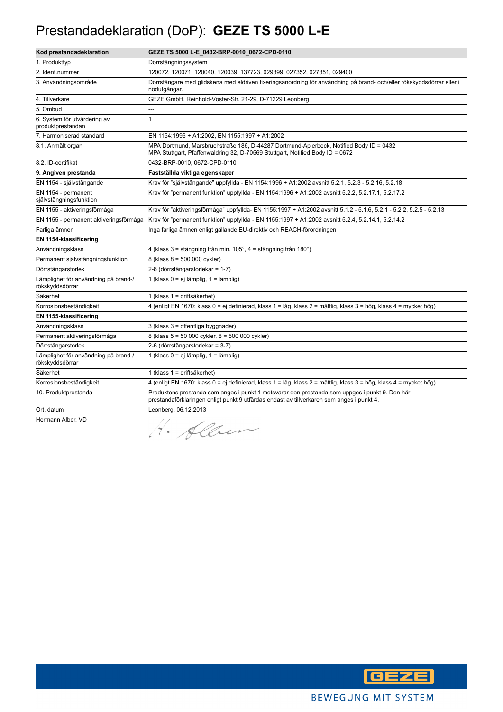#### Prestandadeklaration (DoP): **GEZE TS 5000 L-E**

| Kod prestandadeklaration                                | GEZE TS 5000 L-E_0432-BRP-0010_0672-CPD-0110                                                                                                                                                |
|---------------------------------------------------------|---------------------------------------------------------------------------------------------------------------------------------------------------------------------------------------------|
| 1. Produkttyp                                           | Dörrstängningssystem                                                                                                                                                                        |
| 2. Ident.nummer                                         | 120072, 120071, 120040, 120039, 137723, 029399, 027352, 027351, 029400                                                                                                                      |
| 3. Användningsområde                                    | Dörrstängare med glidskena med eldriven fixeringsanordning för användning på brand- och/eller rökskyddsdörrar eller i<br>nödutgångar.                                                       |
| 4. Tillverkare                                          | GEZE GmbH, Reinhold-Vöster-Str. 21-29, D-71229 Leonberg                                                                                                                                     |
| 5. Ombud                                                |                                                                                                                                                                                             |
| 6. System för utvärdering av<br>produktprestandan       | $\mathbf{1}$                                                                                                                                                                                |
| 7. Harmoniserad standard                                | EN 1154:1996 + A1:2002, EN 1155:1997 + A1:2002                                                                                                                                              |
| 8.1. Anmält organ                                       | MPA Dortmund, Marsbruchstraße 186, D-44287 Dortmund-Aplerbeck, Notified Body ID = 0432<br>MPA Stuttgart, Pfaffenwaldring 32, D-70569 Stuttgart, Notified Body ID = 0672                     |
| 8.2. ID-certifikat                                      | 0432-BRP-0010, 0672-CPD-0110                                                                                                                                                                |
| 9. Angiven prestanda                                    | Fastställda viktiga egenskaper                                                                                                                                                              |
| EN 1154 - självstängande                                | Krav för "självstängande" uppfyllda - EN 1154:1996 + A1:2002 avsnitt 5.2.1, 5.2.3 - 5.2.16, 5.2.18                                                                                          |
| EN 1154 - permanent<br>självstängningsfunktion          | Krav för "permanent funktion" uppfyllda - EN 1154:1996 + A1:2002 avsnitt 5.2.2, 5.2.17.1, 5.2.17.2                                                                                          |
| EN 1155 - aktiveringsförmåga                            | Krav för "aktiveringsförmåga" uppfyllda- EN 1155:1997 + A1:2002 avsnitt 5.1.2 - 5.1.6, 5.2.1 - 5.2.2, 5.2.5 - 5.2.13                                                                        |
| EN 1155 - permanent aktiveringsförmåga                  | Krav för "permanent funktion" uppfyllda - EN 1155:1997 + A1:2002 avsnitt 5.2.4, 5.2.14.1, 5.2.14.2                                                                                          |
| Farliga ämnen                                           | Inga farliga ämnen enligt gällande EU-direktiv och REACH-förordningen                                                                                                                       |
| EN 1154-klassificering                                  |                                                                                                                                                                                             |
| Användningsklass                                        | 4 (klass 3 = stängning från min. 105°, 4 = stängning från 180°)                                                                                                                             |
| Permanent självstängningsfunktion                       | 8 (klass 8 = 500 000 cykler)                                                                                                                                                                |
| Dörrstängarstorlek                                      | 2-6 (dörrstängarstorlekar = 1-7)                                                                                                                                                            |
| Lämplighet för användning på brand-/<br>rökskyddsdörrar | 1 (klass 0 = ej lämplig, 1 = lämplig)                                                                                                                                                       |
| Säkerhet                                                | 1 (klass 1 = driftsäkerhet)                                                                                                                                                                 |
| Korrosionsbeständigkeit                                 | 4 (enligt EN 1670: klass 0 = ej definierad, klass 1 = låg, klass 2 = måttlig, klass 3 = hög, klass 4 = mycket hög)                                                                          |
| EN 1155-klassificering                                  |                                                                                                                                                                                             |
| Användningsklass                                        | 3 (klass 3 = offentliga byggnader)                                                                                                                                                          |
| Permanent aktiveringsförmåga                            | 8 (klass 5 = 50 000 cykler, 8 = 500 000 cykler)                                                                                                                                             |
| Dörrstängarstorlek                                      | 2-6 (dörrstängarstorlekar = 3-7)                                                                                                                                                            |
| Lämplighet för användning på brand-/<br>rökskyddsdörrar | 1 (klass 0 = ej lämplig, 1 = lämplig)                                                                                                                                                       |
| Säkerhet                                                | 1 (klass 1 = driftsäkerhet)                                                                                                                                                                 |
| Korrosionsbeständigkeit                                 | 4 (enligt EN 1670: klass 0 = ej definierad, klass 1 = låg, klass 2 = måttlig, klass 3 = hög, klass 4 = mycket hög)                                                                          |
| 10. Produktprestanda                                    | Produktens prestanda som anges i punkt 1 motsvarar den prestanda som uppges i punkt 9. Den här<br>prestandaförklaringen enligt punkt 9 utfärdas endast av tillverkaren som anges i punkt 4. |
| Ort, datum                                              | Leonberg, 06.12.2013                                                                                                                                                                        |
| Hermann Alber, VD                                       | H. Alben                                                                                                                                                                                    |

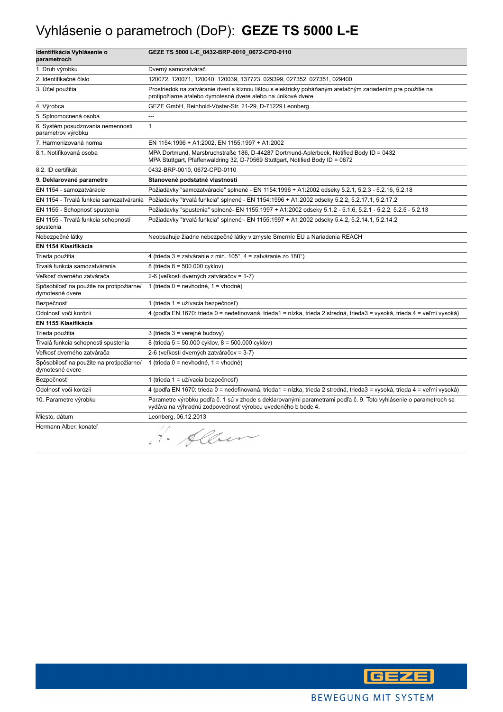## Vyhlásenie o parametroch (DoP): **GEZE TS 5000 L-E**

| Identifikácia Vyhlásenie o<br>parametroch                   | GEZE TS 5000 L-E_0432-BRP-0010_0672-CPD-0110                                                                                                                                    |
|-------------------------------------------------------------|---------------------------------------------------------------------------------------------------------------------------------------------------------------------------------|
| 1. Druh výrobku                                             | Dverný samozatvárač                                                                                                                                                             |
| 2. Identifikačné číslo                                      | 120072, 120071, 120040, 120039, 137723, 029399, 027352, 027351, 029400                                                                                                          |
| 3. Účel použitia                                            | Prostriedok na zatváranie dverí s klznou lištou s elektricky poháňaným aretačným zariadením pre použitie na<br>protipožiarne a/alebo dymotesné dvere alebo na únikové dvere     |
| 4. Výrobca                                                  | GEZE GmbH, Reinhold-Vöster-Str. 21-29, D-71229 Leonberg                                                                                                                         |
| 5. Splnomocnená osoba                                       | $\overline{a}$                                                                                                                                                                  |
| 6. Systém posudzovania nemennosti<br>parametrov výrobku     | $\mathbf{1}$                                                                                                                                                                    |
| 7. Harmonizovaná norma                                      | EN 1154:1996 + A1:2002, EN 1155:1997 + A1:2002                                                                                                                                  |
| 8.1. Notifikovaná osoba                                     | MPA Dortmund, Marsbruchstraße 186, D-44287 Dortmund-Aplerbeck, Notified Body ID = 0432<br>MPA Stuttgart, Pfaffenwaldring 32, D-70569 Stuttgart, Notified Body ID = 0672         |
| 8.2. ID certifikát                                          | 0432-BRP-0010, 0672-CPD-0110                                                                                                                                                    |
| 9. Deklarované parametre                                    | Stanovené podstatné vlastnosti                                                                                                                                                  |
| EN 1154 - samozatváracie                                    | Požiadavky "samozatváracie" splnené - EN 1154:1996 + A1:2002 odseky 5.2.1, 5.2.3 - 5.2.16, 5.2.18                                                                               |
| EN 1154 - Trvalá funkcia samozatvárania                     | Požiadavky "trvalá funkcia" splnené - EN 1154:1996 + A1:2002 odseky 5.2.2, 5.2.17.1, 5.2.17.2                                                                                   |
| EN 1155 - Schopnosť spustenia                               | Požiadavky "spustenia" splnené- EN 1155:1997 + A1:2002 odseky 5.1.2 - 5.1.6, 5.2.1 - 5.2.2, 5.2.5 - 5.2.13                                                                      |
| EN 1155 - Trvalá funkcia schopnosti<br>spustenia            | Požiadavky "trvalá funkcia" splnené - EN 1155:1997 + A1:2002 odseky 5.4.2, 5.2.14.1, 5.2.14.2                                                                                   |
| Nebezpečné látky                                            | Neobsahuje žiadne nebezpečné látky v zmysle Smerníc EU a Nariadenia REACH                                                                                                       |
| EN 1154 Klasifikácia                                        |                                                                                                                                                                                 |
| Trieda použitia                                             | 4 (trieda 3 = zatváranie z min. 105°, 4 = zatváranie zo 180°)                                                                                                                   |
| Trvalá funkcia samozatvárania                               | 8 (trieda 8 = 500.000 cyklov)                                                                                                                                                   |
| Veľkosť dverného zatvárača                                  | 2-6 (veľkosti dverných zatváračov = 1-7)                                                                                                                                        |
| Spôsobilosť na použite na protipožiarne/<br>dymotesné dvere | 1 (trieda $0 =$ nevhodné, 1 = vhodné)                                                                                                                                           |
| Bezpečnosť                                                  | 1 (trieda 1 = užívacia bezpečnosť)                                                                                                                                              |
| Odolnosť voči korózii                                       | 4 (podľa EN 1670: trieda 0 = nedefinovaná, trieda1 = nízka, trieda 2 stredná, trieda3 = vysoká, trieda 4 = veľmi vysoká)                                                        |
| EN 1155 Klasifikácia                                        |                                                                                                                                                                                 |
| Trieda použitia                                             | 3 (trieda 3 = verejné budovy)                                                                                                                                                   |
| Trvalá funkcia schopnosti spustenia                         | 8 (trieda 5 = 50.000 cyklov, 8 = 500.000 cyklov)                                                                                                                                |
| Veľkosť dverného zatvárača                                  | 2-6 (veľkosti dverných zatváračov = 3-7)                                                                                                                                        |
| Spôsobilosť na použite na protipožiarne/<br>dymotesné dvere | 1 (trieda 0 = nevhodné, 1 = vhodné)                                                                                                                                             |
| Bezpečnosť                                                  | 1 (trieda 1 = užívacia bezpečnosť)                                                                                                                                              |
| Odolnosť voči korózii                                       | 4 (podľa EN 1670: trieda 0 = nedefinovaná, trieda1 = nízka, trieda 2 stredná, trieda3 = vysoká, trieda 4 = veľmi vysoká)                                                        |
| 10. Parametre výrobku                                       | Parametre výrobku podľa č. 1 sú v zhode s deklarovanými parametrami podľa č. 9. Toto vyhlásenie o parametroch sa<br>vydáva na výhradnú zodpovednosť výrobcu uvedeného b bode 4. |
| Miesto, dátum                                               | Leonberg, 06.12.2013                                                                                                                                                            |
| Hermann Alber, konateľ                                      | H. Alben                                                                                                                                                                        |

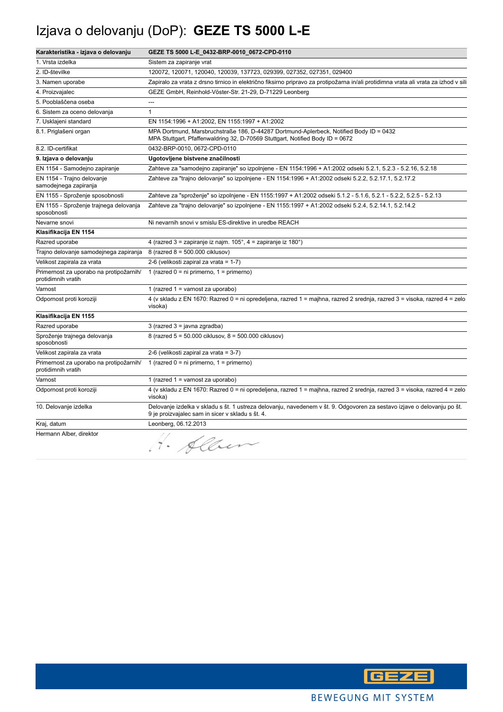# Izjava o delovanju (DoP): **GEZE TS 5000 L-E**

| Karakteristika - izjava o delovanju                           | GEZE TS 5000 L-E_0432-BRP-0010_0672-CPD-0110                                                                                                                                |
|---------------------------------------------------------------|-----------------------------------------------------------------------------------------------------------------------------------------------------------------------------|
| 1. Vrsta izdelka                                              | Sistem za zapiranje vrat                                                                                                                                                    |
| 2. ID-številke                                                | 120072, 120071, 120040, 120039, 137723, 029399, 027352, 027351, 029400                                                                                                      |
| 3. Namen uporabe                                              | Zapiralo za vrata z drsno tirnico in električno fiksirno pripravo za protipožarna in/ali protidimna vrata ali vrata za izhod v sili                                         |
| 4. Proizvajalec                                               | GEZE GmbH, Reinhold-Vöster-Str. 21-29, D-71229 Leonberg                                                                                                                     |
| 5. Pooblaščena oseba                                          | ---                                                                                                                                                                         |
| 6. Sistem za oceno delovanja                                  | $\mathbf{1}$                                                                                                                                                                |
| 7. Usklajeni standard                                         | EN 1154:1996 + A1:2002, EN 1155:1997 + A1:2002                                                                                                                              |
| 8.1. Priglašeni organ                                         | MPA Dortmund, Marsbruchstraße 186, D-44287 Dortmund-Aplerbeck, Notified Body ID = 0432<br>MPA Stuttgart, Pfaffenwaldring 32, D-70569 Stuttgart, Notified Body ID = 0672     |
| 8.2. ID-certifikat                                            | 0432-BRP-0010, 0672-CPD-0110                                                                                                                                                |
| 9. Izjava o delovanju                                         | Ugotovljene bistvene značilnosti                                                                                                                                            |
| EN 1154 - Samodejno zapiranje                                 | Zahteve za "samodejno zapiranje" so izpolnjene - EN 1154:1996 + A1:2002 odseki 5.2.1, 5.2.3 - 5.2.16, 5.2.18                                                                |
| EN 1154 - Trajno delovanje<br>samodejnega zapiranja           | Zahteve za "trajno delovanje" so izpolnjene - EN 1154:1996 + A1:2002 odseki 5.2.2, 5.2.17.1, 5.2.17.2                                                                       |
| EN 1155 - Sproženje sposobnosti                               | Zahteve za "sproženje" so izpolnjene - EN 1155:1997 + A1:2002 odseki 5.1.2 - 5.1.6, 5.2.1 - 5.2.2, 5.2.5 - 5.2.13                                                           |
| EN 1155 - Sproženje trajnega delovanja<br>sposobnosti         | Zahteve za "trajno delovanje" so izpolnjene - EN 1155:1997 + A1:2002 odseki 5.2.4, 5.2.14.1, 5.2.14.2                                                                       |
| Nevarne snovi                                                 | Ni nevarnih snovi v smislu ES-direktive in uredbe REACH                                                                                                                     |
| Klasifikacija EN 1154                                         |                                                                                                                                                                             |
| Razred uporabe                                                | 4 (razred 3 = zapiranje iz najm. 105°, 4 = zapiranje iz 180°)                                                                                                               |
| Trajno delovanje samodejnega zapiranja                        | 8 (razred 8 = 500.000 ciklusov)                                                                                                                                             |
| Velikost zapirala za vrata                                    | 2-6 (velikosti zapiral za vrata = 1-7)                                                                                                                                      |
| Primernost za uporabo na protipožarnih/<br>protidimnih vratih | 1 (razred $0 = ni$ primerno, $1 = prime$ rno)                                                                                                                               |
| Varnost                                                       | 1 (razred $1 =$ varnost za uporabo)                                                                                                                                         |
| Odpornost proti koroziji                                      | 4 (v skladu z EN 1670: Razred 0 = ni opredeljena, razred 1 = majhna, razred 2 srednja, razred 3 = visoka, razred 4 = zelo<br>visoka)                                        |
| Klasifikacija EN 1155                                         |                                                                                                                                                                             |
| Razred uporabe                                                | 3 (razred 3 = javna zgradba)                                                                                                                                                |
| Sproženje trajnega delovanja<br>sposobnosti                   | 8 (razred 5 = 50.000 ciklusov, 8 = 500.000 ciklusov)                                                                                                                        |
| Velikost zapirala za vrata                                    | 2-6 (velikosti zapiral za vrata = 3-7)                                                                                                                                      |
| Primernost za uporabo na protipožarnih/<br>protidimnih vratih | 1 (razred $0 = ni$ primerno, $1 = p$ rimerno)                                                                                                                               |
| Varnost                                                       | 1 (razred 1 = varnost za uporabo)                                                                                                                                           |
| Odpornost proti koroziji                                      | 4 (v skladu z EN 1670: Razred 0 = ni opredeljena, razred 1 = majhna, razred 2 srednja, razred 3 = visoka, razred 4 = zelo<br>visoka)                                        |
| 10. Delovanje izdelka                                         | Delovanje izdelka v skladu s št. 1 ustreza delovanju, navedenem v št. 9. Odgovoren za sestavo izjave o delovanju po št.<br>9 je proizvajalec sam in sicer v skladu s št. 4. |
| Kraj, datum                                                   | Leonberg, 06.12.2013                                                                                                                                                        |
| Hermann Alber, direktor                                       | 1. Alben                                                                                                                                                                    |

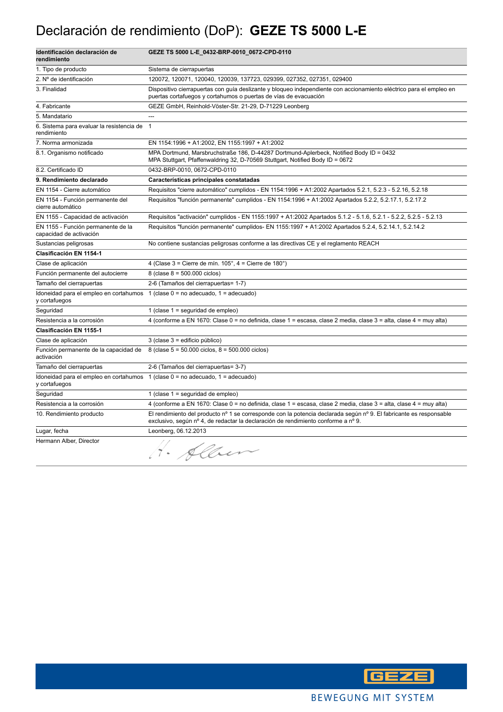## Declaración de rendimiento (DoP): **GEZE TS 5000 L-E**

| Identificación declaración de<br>rendimiento                  | GEZE TS 5000 L-E_0432-BRP-0010_0672-CPD-0110                                                                                                                                                            |
|---------------------------------------------------------------|---------------------------------------------------------------------------------------------------------------------------------------------------------------------------------------------------------|
| 1. Tipo de producto                                           | Sistema de cierrapuertas                                                                                                                                                                                |
| 2. Nº de identificación                                       | 120072, 120071, 120040, 120039, 137723, 029399, 027352, 027351, 029400                                                                                                                                  |
| 3. Finalidad                                                  | Dispositivo cierrapuertas con guía deslizante y bloqueo independiente con accionamiento eléctrico para el empleo en<br>puertas cortafuegos y cortahumos o puertas de vías de evacuación                 |
| 4. Fabricante                                                 | GEZE GmbH, Reinhold-Vöster-Str. 21-29, D-71229 Leonberg                                                                                                                                                 |
| 5. Mandatario                                                 | $\overline{a}$                                                                                                                                                                                          |
| 6. Sistema para evaluar la resistencia de<br>rendimiento      | $\overline{1}$                                                                                                                                                                                          |
| 7. Norma armonizada                                           | EN 1154:1996 + A1:2002, EN 1155:1997 + A1:2002                                                                                                                                                          |
| 8.1. Organismo notificado                                     | MPA Dortmund, Marsbruchstraße 186, D-44287 Dortmund-Aplerbeck, Notified Body ID = 0432<br>MPA Stuttgart, Pfaffenwaldring 32, D-70569 Stuttgart, Notified Body ID = 0672                                 |
| 8.2. Certificado ID                                           | 0432-BRP-0010, 0672-CPD-0110                                                                                                                                                                            |
| 9. Rendimiento declarado                                      | Características principales constatadas                                                                                                                                                                 |
| EN 1154 - Cierre automático                                   | Requisitos "cierre automático" cumplidos - EN 1154:1996 + A1:2002 Apartados 5.2.1, 5.2.3 - 5.2.16, 5.2.18                                                                                               |
| EN 1154 - Función permanente del<br>cierre automático         | Requisitos "función permanente" cumplidos - EN 1154:1996 + A1:2002 Apartados 5.2.2, 5.2.17.1, 5.2.17.2                                                                                                  |
| EN 1155 - Capacidad de activación                             | Requisitos "activación" cumplidos - EN 1155:1997 + A1:2002 Apartados 5.1.2 - 5.1.6, 5.2.1 - 5.2.2, 5.2.5 - 5.2.13                                                                                       |
| EN 1155 - Función permanente de la<br>capacidad de activación | Requisitos "función permanente" cumplidos- EN 1155:1997 + A1:2002 Apartados 5.2.4, 5.2.14.1, 5.2.14.2                                                                                                   |
| Sustancias peligrosas                                         | No contiene sustancias peligrosas conforme a las directivas CE y el reglamento REACH                                                                                                                    |
| Clasificación EN 1154-1                                       |                                                                                                                                                                                                         |
| Clase de aplicación                                           | 4 (Clase $3 =$ Cierre de mín. $105^\circ$ , $4 =$ Cierre de $180^\circ$ )                                                                                                                               |
| Función permanente del autocierre                             | 8 (clase $8 = 500.000$ ciclos)                                                                                                                                                                          |
| Tamaño del cierrapuertas                                      | 2-6 (Tamaños del cierrapuertas= 1-7)                                                                                                                                                                    |
| y cortafuegos                                                 | Idoneidad para el empleo en cortahumos 1 (clase 0 = no adecuado, 1 = adecuado)                                                                                                                          |
| Seguridad                                                     | 1 (clase $1 =$ seguridad de empleo)                                                                                                                                                                     |
| Resistencia a la corrosión                                    | 4 (conforme a EN 1670: Clase 0 = no definida, clase 1 = escasa, clase 2 media, clase 3 = alta, clase 4 = muy alta)                                                                                      |
| Clasificación EN 1155-1                                       |                                                                                                                                                                                                         |
| Clase de aplicación                                           | 3 (clase 3 = edificio público)                                                                                                                                                                          |
| Función permanente de la capacidad de<br>activación           | 8 (clase $5 = 50.000$ ciclos, $8 = 500.000$ ciclos)                                                                                                                                                     |
| Tamaño del cierrapuertas                                      | 2-6 (Tamaños del cierrapuertas= 3-7)                                                                                                                                                                    |
| y cortafuegos                                                 | Idoneidad para el empleo en cortahumos 1 (clase 0 = no adecuado, 1 = adecuado)                                                                                                                          |
| Seguridad                                                     | 1 (clase $1 =$ seguridad de empleo)                                                                                                                                                                     |
| Resistencia a la corrosión                                    | 4 (conforme a EN 1670: Clase 0 = no definida, clase 1 = escasa, clase 2 media, clase 3 = alta, clase 4 = muy alta)                                                                                      |
| 10. Rendimiento producto                                      | El rendimiento del producto nº 1 se corresponde con la potencia declarada según nº 9. El fabricante es responsable<br>exclusivo, según nº 4, de redactar la declaración de rendimiento conforme a nº 9. |
| Lugar, fecha                                                  | Leonberg, 06.12.2013                                                                                                                                                                                    |
| Hermann Alber, Director                                       | . Allen                                                                                                                                                                                                 |

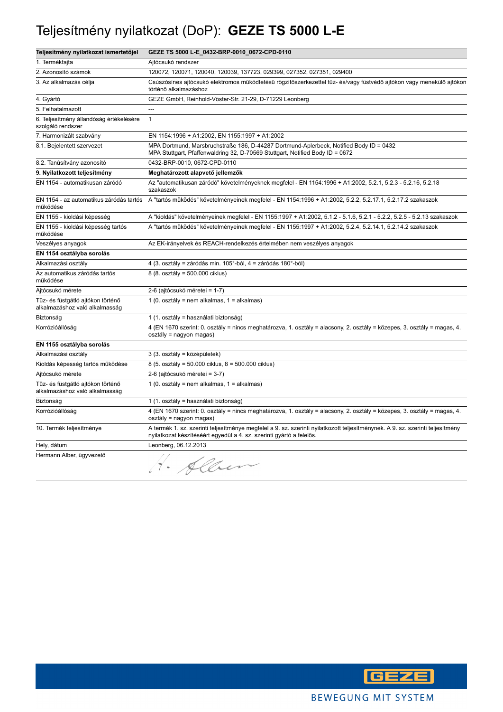#### Teljesítmény nyilatkozat (DoP): **GEZE TS 5000 L-E**

| Teljesítmény nyilatkozat ismertetőjel                               | GEZE TS 5000 L-E_0432-BRP-0010_0672-CPD-0110                                                                                                                                                           |
|---------------------------------------------------------------------|--------------------------------------------------------------------------------------------------------------------------------------------------------------------------------------------------------|
| 1. Termékfajta                                                      | Ajtócsukó rendszer                                                                                                                                                                                     |
| 2. Azonosító számok                                                 | 120072, 120071, 120040, 120039, 137723, 029399, 027352, 027351, 029400                                                                                                                                 |
| 3. Az alkalmazás célja                                              | Csúszósínes ajtócsukó elektromos működtetésű rögzítőszerkezettel tűz- és/vagy füstvédő ajtókon vagy menekülő ajtókon<br>történő alkalmazáshoz                                                          |
| 4. Gyártó                                                           | GEZE GmbH, Reinhold-Vöster-Str. 21-29, D-71229 Leonberg                                                                                                                                                |
| 5. Felhatalmazott                                                   | ---                                                                                                                                                                                                    |
| 6. Teljesítmény állandóság értékelésére<br>szolgáló rendszer        | $\mathbf{1}$                                                                                                                                                                                           |
| 7. Harmonizált szabvány                                             | EN 1154:1996 + A1:2002, EN 1155:1997 + A1:2002                                                                                                                                                         |
| 8.1. Bejelentett szervezet                                          | MPA Dortmund, Marsbruchstraße 186, D-44287 Dortmund-Aplerbeck, Notified Body ID = 0432<br>MPA Stuttgart, Pfaffenwaldring 32, D-70569 Stuttgart, Notified Body ID = 0672                                |
| 8.2. Tanúsítvány azonosító                                          | 0432-BRP-0010, 0672-CPD-0110                                                                                                                                                                           |
| 9. Nyilatkozott teljesítmény                                        | Meghatározott alapvető jellemzők                                                                                                                                                                       |
| EN 1154 - automatikusan záródó                                      | Az "automatikusan záródó" követelményeknek megfelel - EN 1154:1996 + A1:2002, 5.2.1, 5.2.3 - 5.2.16, 5.2.18<br>szakaszok                                                                               |
| működése                                                            | EN 1154 - az automatikus záródás tartós A "tartós működés" követelményeinek megfelel - EN 1154:1996 + A1:2002, 5.2.2, 5.2.17.1, 5.2.17.2 szakaszok                                                     |
| EN 1155 - kioldási képesség                                         | A "kioldás" követelményeinek megfelel - EN 1155:1997 + A1:2002, 5.1.2 - 5.1.6, 5.2.1 - 5.2.2, 5.2.5 - 5.2.13 szakaszok                                                                                 |
| EN 1155 - kioldási képesség tartós<br>működése                      | A "tartós működés" követelményeinek megfelel - EN 1155:1997 + A1:2002, 5.2.4, 5.2.14.1, 5.2.14.2 szakaszok                                                                                             |
| Veszélyes anyagok                                                   | Az EK-irányelvek és REACH-rendelkezés értelmében nem veszélyes anyagok                                                                                                                                 |
| EN 1154 osztályba sorolás                                           |                                                                                                                                                                                                        |
| Alkalmazási osztály                                                 | 4 (3. osztály = záródás min. 105°-ból, 4 = záródás 180°-ból)                                                                                                                                           |
| Az automatikus záródás tartós<br>működése                           | 8 (8. osztály = 500.000 ciklus)                                                                                                                                                                        |
| Ajtócsukó mérete                                                    | 2-6 (ajtócsukó méretei = 1-7)                                                                                                                                                                          |
| Tűz- és füstgátló ajtókon történő<br>alkalmazáshoz való alkalmasság | 1 (0. osztály = nem alkalmas, 1 = alkalmas)                                                                                                                                                            |
| Biztonság                                                           | 1 (1. osztály = használati biztonság)                                                                                                                                                                  |
| Korrózióállóság                                                     | 4 (EN 1670 szerint: 0. osztály = nincs meghatározva, 1. osztály = alacsony, 2. osztály = közepes, 3. osztály = magas, 4.<br>osztály = nagyon magas)                                                    |
| EN 1155 osztályba sorolás                                           |                                                                                                                                                                                                        |
| Alkalmazási osztály                                                 | 3 (3. osztály = középületek)                                                                                                                                                                           |
| Kioldás képesség tartós működése                                    | 8 (5. osztály = 50.000 ciklus, 8 = 500.000 ciklus)                                                                                                                                                     |
| Ajtócsukó mérete                                                    | 2-6 (ajtócsukó méretei = 3-7)                                                                                                                                                                          |
| Tűz- és füstgátló ajtókon történő<br>alkalmazáshoz való alkalmasság | 1 (0. osztály = nem alkalmas, 1 = alkalmas)                                                                                                                                                            |
| Biztonság                                                           | 1 (1. osztály = használati biztonság)                                                                                                                                                                  |
| Korrózióállóság                                                     | 4 (EN 1670 szerint: 0. osztály = nincs meghatározva, 1. osztály = alacsony, 2. osztály = közepes, 3. osztály = magas, 4.<br>osztály = nagyon magas)                                                    |
| 10. Termék teljesítménye                                            | A termék 1. sz. szerinti teljesítménye megfelel a 9. sz. szerinti nyilatkozott teljesítménynek. A 9. sz. szerinti teljesítmény<br>nyilatkozat készítéséért egyedül a 4. sz. szerinti gyártó a felelős. |
| Hely, dátum                                                         | Leonberg, 06.12.2013                                                                                                                                                                                   |
| Hermann Alber, ügyvezető                                            | H. Alben                                                                                                                                                                                               |

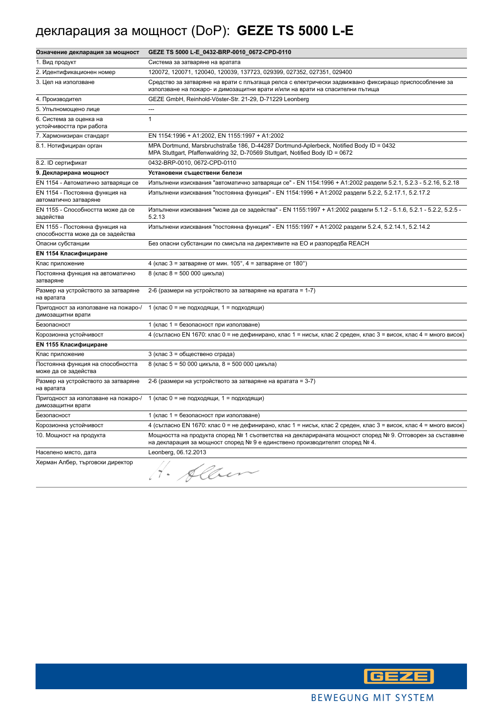# декларация за мощност (DoP): **GEZE TS 5000 L-E**

| Означение декларация за мощност                                     | GEZE TS 5000 L-E_0432-BRP-0010_0672-CPD-0110                                                                                                                                            |
|---------------------------------------------------------------------|-----------------------------------------------------------------------------------------------------------------------------------------------------------------------------------------|
| 1. Вид продукт                                                      | Система за затваряне на вратата                                                                                                                                                         |
| 2. Идентификационен номер                                           | 120072, 120071, 120040, 120039, 137723, 029399, 027352, 027351, 029400                                                                                                                  |
| 3. Цел на използване                                                | Средство за затваряне на врати с плъзгаща релса с електрически задвижвано фиксиращо приспособление за<br>използване на пожаро- и димозащитни врати и/или на врати на спасителни пътища  |
| 4. Производител                                                     | GEZE GmbH, Reinhold-Vöster-Str. 21-29, D-71229 Leonberg                                                                                                                                 |
| 5. Упълномощено лице                                                | $\sim$                                                                                                                                                                                  |
| 6. Система за оценка на<br>устойчивостта при работа                 | $\mathbf{1}$                                                                                                                                                                            |
| 7. Хармонизиран стандарт                                            | EN 1154:1996 + A1:2002, EN 1155:1997 + A1:2002                                                                                                                                          |
| 8.1. Нотифициран орган                                              | MPA Dortmund, Marsbruchstraße 186, D-44287 Dortmund-Aplerbeck, Notified Body ID = 0432<br>MPA Stuttgart, Pfaffenwaldring 32, D-70569 Stuttgart, Notified Body ID = 0672                 |
| 8.2. ID сертификат                                                  | 0432-BRP-0010, 0672-CPD-0110                                                                                                                                                            |
| 9. Декларирана мощност                                              | Установени съществени белези                                                                                                                                                            |
| EN 1154 - Автоматично затварящи се                                  | Изпълнени изисквания "автоматично затварящи се" - EN 1154:1996 + A1:2002 раздели 5.2.1, 5.2.3 - 5.2.16, 5.2.18                                                                          |
| EN 1154 - Постоянна функция на<br>автоматично затваряне             | Изпълнени изисквания "постоянна функция" - EN 1154:1996 + A1:2002 раздели 5.2.2, 5.2.17.1, 5.2.17.2                                                                                     |
| EN 1155 - Способността може да се<br>задейства                      | Изпълнени изисквания "може да се задейства" - EN 1155:1997 + A1:2002 раздели 5.1.2 - 5.1.6, 5.2.1 - 5.2.2, 5.2.5 -<br>5.2.13                                                            |
| EN 1155 - Постоянна функция на<br>способността може да се задейства | Изпълнени изисквания "постоянна функция" - EN 1155:1997 + A1:2002 раздели 5.2.4, 5.2.14.1, 5.2.14.2                                                                                     |
| Опасни субстанции                                                   | Без опасни субстанции по смисъла на директивите на ЕО и разпоредба REACH                                                                                                                |
| <b>EN 1154 Класифициране</b>                                        |                                                                                                                                                                                         |
| Клас приложение                                                     | 4 (клас 3 = затваряне от мин. $105^\circ$ , 4 = затваряне от 180°)                                                                                                                      |
| Постоянна функция на автоматично<br>затваряне                       | 8 (клас 8 = 500 000 цикъла)                                                                                                                                                             |
| Размер на устройството за затваряне<br>на вратата                   | 2-6 (размери на устройството за затваряне на вратата = 1-7)                                                                                                                             |
| Пригодност за използване на пожаро-/<br>димозащитни врати           | 1 (клас 0 = не подходящи, 1 = подходящи)                                                                                                                                                |
| Безопасност                                                         | 1 (клас 1 = безопасност при използване)                                                                                                                                                 |
| Корозионна устойчивост                                              | 4 (съгласно EN 1670: клас 0 = не дефинирано, клас 1 = нисък, клас 2 среден, клас 3 = висок, клас 4 = много висок)                                                                       |
| <b>EN 1155 Класифициране</b>                                        |                                                                                                                                                                                         |
| Клас приложение                                                     | 3 (клас 3 = обществено сграда)                                                                                                                                                          |
| Постоянна функция на способността<br>може да се задейства           | 8 (клас 5 = 50 000 цикъла, 8 = 500 000 цикъла)                                                                                                                                          |
| Размер на устройството за затваряне<br>на вратата                   | 2-6 (размери на устройството за затваряне на вратата = 3-7)                                                                                                                             |
| Пригодност за използване на пожаро-/<br>димозащитни врати           | 1 (клас 0 = не подходящи, 1 = подходящи)                                                                                                                                                |
| Безопасност                                                         | 1 (клас 1 = безопасност при използване)                                                                                                                                                 |
| Корозионна устойчивост                                              | 4 (съгласно EN 1670: клас 0 = не дефинирано, клас 1 = нисък, клас 2 среден, клас 3 = висок, клас 4 = много висок)                                                                       |
| 10. Мощност на продукта                                             | Мощността на продукта според № 1 съответства на декларираната мощност според № 9. Отговорен за съставяне<br>на декларация за мощност според № 9 е единствено производителят според № 4. |
| Населено място, дата                                                | Leonberg, 06.12.2013                                                                                                                                                                    |
| Херман Албер, търговски директор                                    | H. Alben                                                                                                                                                                                |

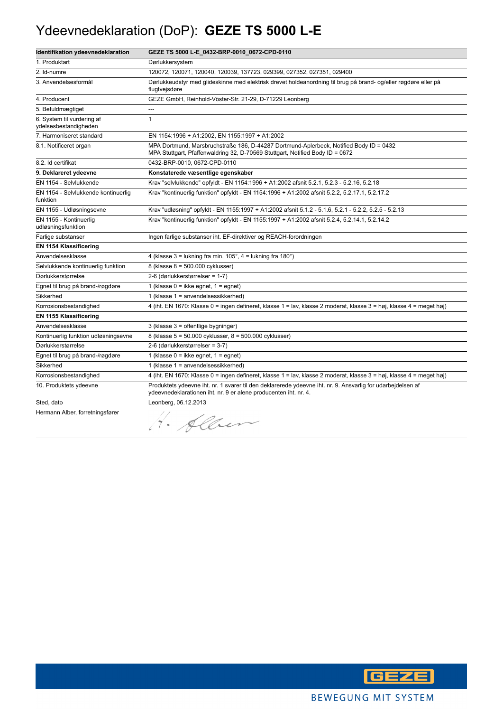#### Ydeevnedeklaration (DoP): **GEZE TS 5000 L-E**

| Identifikation ydeevnedeklaration                   | GEZE TS 5000 L-E_0432-BRP-0010_0672-CPD-0110                                                                                                                                    |
|-----------------------------------------------------|---------------------------------------------------------------------------------------------------------------------------------------------------------------------------------|
| 1. Produktart                                       | Dørlukkersystem                                                                                                                                                                 |
| 2. Id-numre                                         | 120072, 120071, 120040, 120039, 137723, 029399, 027352, 027351, 029400                                                                                                          |
| 3. Anvendelsesformål                                | Dørlukkeudstyr med glideskinne med elektrisk drevet holdeanordning til brug på brand- og/eller røgdøre eller på<br>flugtvejsdøre                                                |
| 4. Producent                                        | GEZE GmbH, Reinhold-Vöster-Str. 21-29, D-71229 Leonberg                                                                                                                         |
| 5. Befuldmægtiget                                   | ---                                                                                                                                                                             |
| 6. System til vurdering af<br>ydelsesbestandigheden | $\mathbf{1}$                                                                                                                                                                    |
| 7. Harmoniseret standard                            | EN 1154:1996 + A1:2002, EN 1155:1997 + A1:2002                                                                                                                                  |
| 8.1. Notificeret organ                              | MPA Dortmund, Marsbruchstraße 186, D-44287 Dortmund-Aplerbeck, Notified Body ID = 0432<br>MPA Stuttgart, Pfaffenwaldring 32, D-70569 Stuttgart, Notified Body ID = 0672         |
| 8.2. Id certifikat                                  | 0432-BRP-0010, 0672-CPD-0110                                                                                                                                                    |
| 9. Deklareret ydeevne                               | Konstaterede væsentlige egenskaber                                                                                                                                              |
| EN 1154 - Selvlukkende                              | Krav "selvlukkende" opfyldt - EN 1154:1996 + A1:2002 afsnit 5.2.1, 5.2.3 - 5.2.16, 5.2.18                                                                                       |
| EN 1154 - Selvlukkende kontinuerlig<br>funktion     | Krav "kontinuerlig funktion" opfyldt - EN 1154:1996 + A1:2002 afsnit 5.2.2, 5.2.17.1, 5.2.17.2                                                                                  |
| EN 1155 - Udløsningsevne                            | Krav "udløsning" opfyldt - EN 1155:1997 + A1:2002 afsnit 5.1.2 - 5.1.6, 5.2.1 - 5.2.2, 5.2.5 - 5.2.13                                                                           |
| EN 1155 - Kontinuerlig<br>udløsningsfunktion        | Krav "kontinuerlig funktion" opfyldt - EN 1155:1997 + A1:2002 afsnit 5.2.4, 5.2.14.1, 5.2.14.2                                                                                  |
| Farlige substanser                                  | Ingen farlige substanser iht. EF-direktiver og REACH-forordningen                                                                                                               |
| <b>EN 1154 Klassificering</b>                       |                                                                                                                                                                                 |
| Anvendelsesklasse                                   | 4 (klasse $3 =$ lukning fra min. 105°, $4 =$ lukning fra 180°)                                                                                                                  |
| Selvlukkende kontinuerlig funktion                  | 8 (klasse 8 = 500.000 cyklusser)                                                                                                                                                |
| Dørlukkerstørrelse                                  | 2-6 (dørlukkerstørrelser = 1-7)                                                                                                                                                 |
| Egnet til brug på brand-/røgdøre                    | 1 (klasse $0 =$ ikke egnet, $1 =$ egnet)                                                                                                                                        |
| Sikkerhed                                           | 1 (klasse 1 = anvendelsessikkerhed)                                                                                                                                             |
| Korrosionsbestandighed                              | 4 (iht. EN 1670: Klasse 0 = ingen defineret, klasse 1 = lav, klasse 2 moderat, klasse 3 = høj, klasse 4 = meget høj)                                                            |
| <b>EN 1155 Klassificering</b>                       |                                                                                                                                                                                 |
| Anvendelsesklasse                                   | 3 (klasse 3 = offentlige bygninger)                                                                                                                                             |
| Kontinuerlig funktion udløsningsevne                | 8 (klasse 5 = 50.000 cyklusser, 8 = 500.000 cyklusser)                                                                                                                          |
| Dørlukkerstørrelse                                  | 2-6 (dørlukkerstørrelser = 3-7)                                                                                                                                                 |
| Egnet til brug på brand-/røgdøre                    | 1 (klasse $0 =$ ikke egnet, $1 =$ egnet)                                                                                                                                        |
| Sikkerhed                                           | 1 (klasse 1 = anvendelsessikkerhed)                                                                                                                                             |
| Korrosionsbestandighed                              | 4 (iht. EN 1670: Klasse 0 = ingen defineret, klasse 1 = lav, klasse 2 moderat, klasse 3 = høj, klasse 4 = meget høj)                                                            |
| 10. Produktets ydeevne                              | Produktets ydeevne iht. nr. 1 svarer til den deklarerede ydeevne iht. nr. 9. Ansvarlig for udarbejdelsen af<br>ydeevnedeklarationen iht. nr. 9 er alene producenten iht. nr. 4. |
| Sted, dato                                          | Leonberg, 06.12.2013                                                                                                                                                            |
| Hermann Alber, forretningsfører                     | · Alber                                                                                                                                                                         |

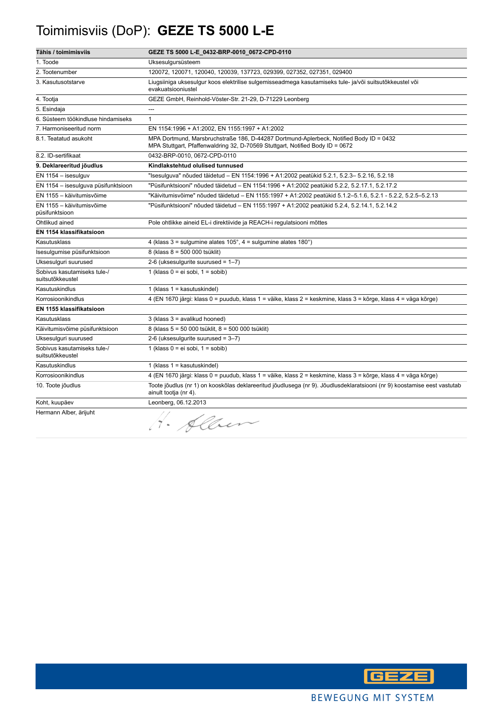# Toimimisviis (DoP): **GEZE TS 5000 L-E**

| Tähis / toimimisviis                            | GEZE TS 5000 L-E_0432-BRP-0010_0672-CPD-0110                                                                                                                            |
|-------------------------------------------------|-------------------------------------------------------------------------------------------------------------------------------------------------------------------------|
| 1. Toode                                        | Uksesulgursüsteem                                                                                                                                                       |
| 2. Tootenumber                                  | 120072, 120071, 120040, 120039, 137723, 029399, 027352, 027351, 029400                                                                                                  |
| 3. Kasutusotstarve                              | Liugsiiniga uksesulgur koos elektrilise sulgemisseadmega kasutamiseks tule- ja/või suitsutõkkeustel või<br>evakuatsiooniustel                                           |
| 4. Tootja                                       | GEZE GmbH, Reinhold-Vöster-Str. 21-29, D-71229 Leonberg                                                                                                                 |
| 5. Esindaja                                     | ---                                                                                                                                                                     |
| 6. Süsteem töökindluse hindamiseks              | $\mathbf{1}$                                                                                                                                                            |
| 7. Harmoniseeritud norm                         | EN 1154:1996 + A1:2002, EN 1155:1997 + A1:2002                                                                                                                          |
| 8.1. Teatatud asukoht                           | MPA Dortmund, Marsbruchstraße 186, D-44287 Dortmund-Aplerbeck, Notified Body ID = 0432<br>MPA Stuttgart, Pfaffenwaldring 32, D-70569 Stuttgart, Notified Body ID = 0672 |
| 8.2. ID-sertifikaat                             | 0432-BRP-0010, 0672-CPD-0110                                                                                                                                            |
| 9. Deklareeritud jõudlus                        | Kindlakstehtud olulised tunnused                                                                                                                                        |
| EN 1154 - isesulguv                             | "Isesulguva" nõuded täidetud – EN 1154:1996 + A1:2002 peatükid 5.2.1, 5.2.3– 5.2.16, 5.2.18                                                                             |
| EN 1154 - isesulguva püsifunktsioon             | "Püsifunktsiooni" nõuded täidetud - EN 1154:1996 + A1:2002 peatükid 5.2.2, 5.2.17.1, 5.2.17.2                                                                           |
| EN 1155 - käivitumisvõime                       | "Käivitumisvõime" nõuded täidetud - EN 1155:1997 + A1:2002 peatükid 5.1.2-5.1.6, 5.2.1 - 5.2.2, 5.2.5-5.2.13                                                            |
| EN 1155 - käivitumisvõime<br>püsifunktsioon     | "Püsifunktsiooni" nõuded täidetud - EN 1155:1997 + A1:2002 peatükid 5.2.4, 5.2.14.1, 5.2.14.2                                                                           |
| Ohtlikud ained                                  | Pole ohtlikke aineid EL-i direktiivide ja REACH-i regulatsiooni mõttes                                                                                                  |
| EN 1154 klassifikatsioon                        |                                                                                                                                                                         |
| Kasutusklass                                    | 4 (klass $3 =$ sulgumine alates $105^\circ$ , $4 =$ sulgumine alates $180^\circ$ )                                                                                      |
| Isesulgumise püsifunktsioon                     | 8 (klass 8 = 500 000 tsüklit)                                                                                                                                           |
| Uksesulguri suurused                            | 2-6 (uksesulgurite suurused = $1-7$ )                                                                                                                                   |
| Sobivus kasutamiseks tule-/<br>suitsutõkkeustel | 1 (klass $0 = ei$ sobi, $1 =$ sobib)                                                                                                                                    |
| Kasutuskindlus                                  | 1 (klass $1 =$ kasutuskindel)                                                                                                                                           |
| Korrosioonikindlus                              | 4 (EN 1670 järgi: klass 0 = puudub, klass 1 = väike, klass 2 = keskmine, klass 3 = kõrge, klass 4 = väga kõrge)                                                         |
| EN 1155 klassifikatsioon                        |                                                                                                                                                                         |
| Kasutusklass                                    | 3 (klass 3 = avalikud hooned)                                                                                                                                           |
| Käivitumisvõime püsifunktsioon                  | 8 (klass 5 = 50 000 tsüklit, 8 = 500 000 tsüklit)                                                                                                                       |
| Uksesulguri suurused                            | 2-6 (uksesulgurite suurused = 3-7)                                                                                                                                      |
| Sobivus kasutamiseks tule-/<br>suitsutõkkeustel | 1 (klass $0 = ei$ sobi, $1 =$ sobib)                                                                                                                                    |
| Kasutuskindlus                                  | 1 (klass $1 =$ kasutuskindel)                                                                                                                                           |
| Korrosioonikindlus                              | 4 (EN 1670 järgi: klass 0 = puudub, klass 1 = väike, klass 2 = keskmine, klass 3 = kõrge, klass 4 = väga kõrge)                                                         |
| 10. Toote jõudlus                               | Toote jõudlus (nr 1) on kooskõlas deklareeritud jõudlusega (nr 9). Jõudlusdeklaratsiooni (nr 9) koostamise eest vastutab<br>ainult tootja (nr 4).                       |
| Koht, kuupäev                                   | Leonberg, 06.12.2013                                                                                                                                                    |
| Hermann Alber, ärijuht                          | . Allen                                                                                                                                                                 |

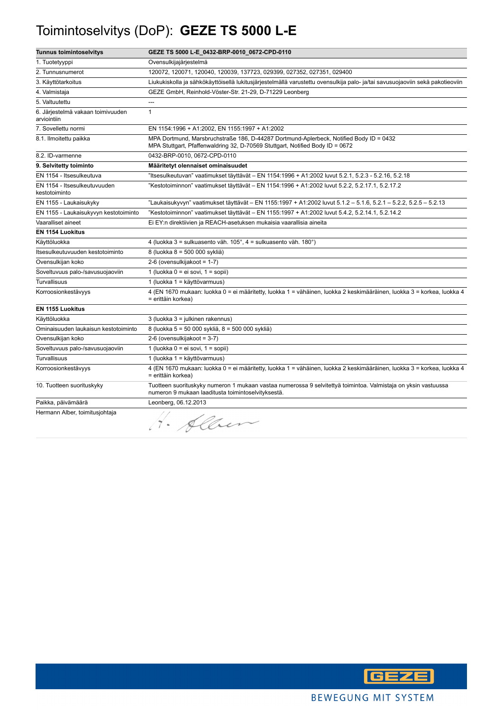# Toimintoselvitys (DoP): **GEZE TS 5000 L-E**

| <b>Tunnus toimintoselvitys</b>                   | GEZE TS 5000 L-E_0432-BRP-0010_0672-CPD-0110                                                                                                                            |
|--------------------------------------------------|-------------------------------------------------------------------------------------------------------------------------------------------------------------------------|
| 1. Tuotetyyppi                                   | Ovensulkijajärjestelmä                                                                                                                                                  |
| 2. Tunnusnumerot                                 | 120072, 120071, 120040, 120039, 137723, 029399, 027352, 027351, 029400                                                                                                  |
| 3. Käyttötarkoitus                               | Liukukiskolla ja sähkökäyttöisellä lukitusjärjestelmällä varustettu ovensulkija palo- ja/tai savusuojaoviin sekä pakotieoviin                                           |
| 4. Valmistaja                                    | GEZE GmbH, Reinhold-Vöster-Str. 21-29, D-71229 Leonberg                                                                                                                 |
| 5. Valtuutettu                                   | ---                                                                                                                                                                     |
| 6. Järjestelmä vakaan toimivuuden<br>arviointiin | $\mathbf{1}$                                                                                                                                                            |
| 7. Sovellettu normi                              | EN 1154:1996 + A1:2002, EN 1155:1997 + A1:2002                                                                                                                          |
| 8.1. Ilmoitettu paikka                           | MPA Dortmund, Marsbruchstraße 186, D-44287 Dortmund-Aplerbeck, Notified Body ID = 0432<br>MPA Stuttgart, Pfaffenwaldring 32, D-70569 Stuttgart, Notified Body ID = 0672 |
| 8.2. ID-varmenne                                 | 0432-BRP-0010, 0672-CPD-0110                                                                                                                                            |
| 9. Selvitetty toiminto                           | Määritetyt olennaiset ominaisuudet                                                                                                                                      |
| EN 1154 - Itsesulkeutuva                         | ltsesulkeutuvan" vaatimukset täyttävät – EN 1154:1996 + A1:2002 luvut 5.2.1, 5.2.3 - 5.2.16, 5.2.18"                                                                    |
| EN 1154 - Itsesulkeutuvuuden<br>kestotoiminto    | "Kestotoiminnon" vaatimukset täyttävät - EN 1154:1996 + A1:2002 luvut 5.2.2, 5.2.17.1, 5.2.17.2                                                                         |
| EN 1155 - Laukaisukyky                           | "Laukaisukyvyn" vaatimukset täyttävät – EN 1155:1997 + A1:2002 luvut 5.1.2 – 5.1.6, 5.2.1 – 5.2.2, 5.2.5 – 5.2.13                                                       |
| EN 1155 - Laukaisukyvyn kestotoiminto            | "Kestotoiminnon" vaatimukset täyttävät – EN 1155:1997 + A1:2002 luvut 5.4.2, 5.2.14.1, 5.2.14.2                                                                         |
| Vaaralliset aineet                               | Ei EY:n direktiivien ja REACH-asetuksen mukaisia vaarallisia aineita                                                                                                    |
| <b>EN 1154 Luokitus</b>                          |                                                                                                                                                                         |
| Käyttöluokka                                     | 4 (luokka 3 = sulkuasento väh. 105°, 4 = sulkuasento väh. 180°)                                                                                                         |
| Itsesulkeutuvuuden kestotoiminto                 | 8 (luokka 8 = 500 000 sykliä)                                                                                                                                           |
| Ovensulkijan koko                                | 2-6 (ovensulkijakoot = 1-7)                                                                                                                                             |
| Soveltuvuus palo-/savusuojaoviin                 | 1 (luokka $0 = ei$ sovi, $1 = sopii$ )                                                                                                                                  |
| Turvallisuus                                     | 1 (luokka 1 = käyttövarmuus)                                                                                                                                            |
| Korroosionkestävyys                              | 4 (EN 1670 mukaan: luokka 0 = ei määritetty, luokka 1 = vähäinen, luokka 2 keskimääräinen, luokka 3 = korkea, luokka 4<br>= erittäin korkea)                            |
| <b>EN 1155 Luokitus</b>                          |                                                                                                                                                                         |
| Käyttöluokka                                     | 3 (luokka 3 = julkinen rakennus)                                                                                                                                        |
| Ominaisuuden laukaisun kestotoiminto             | 8 (luokka 5 = 50 000 sykliä, 8 = 500 000 sykliä)                                                                                                                        |
| Ovensulkijan koko                                | 2-6 (ovensulkijakoot = 3-7)                                                                                                                                             |
| Soveltuvuus palo-/savusuojaoviin                 | 1 (luokka 0 = ei sovi, 1 = sopii)                                                                                                                                       |
| <b>Turvallisuus</b>                              | 1 (luokka 1 = käyttövarmuus)                                                                                                                                            |
| Korroosionkestävyys                              | 4 (EN 1670 mukaan: luokka 0 = ei määritetty, luokka 1 = vähäinen, luokka 2 keskimääräinen, luokka 3 = korkea, luokka 4<br>= erittäin korkea)                            |
| 10. Tuotteen suorituskyky                        | Tuotteen suorituskyky numeron 1 mukaan vastaa numerossa 9 selvitettyä toimintoa. Valmistaja on yksin vastuussa<br>numeron 9 mukaan laaditusta toimintoselvityksestä.    |
| Paikka, päivämäärä                               | Leonberg, 06.12.2013                                                                                                                                                    |
| Hermann Alber, toimitusjohtaja                   | 1. Alben                                                                                                                                                                |

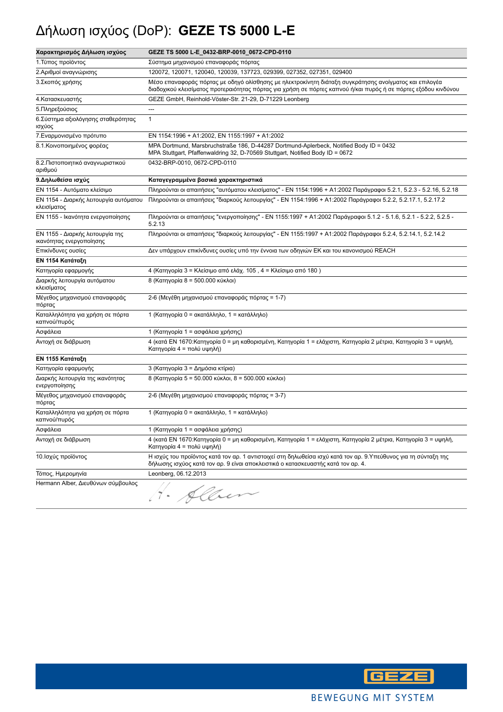## Δήλωση ισχύος (DoP): **GEZE TS 5000 L-E**

| Χαρακτηρισμός Δήλωση ισχύος                                  | GEZE TS 5000 L-E_0432-BRP-0010_0672-CPD-0110                                                                                                                                                                              |
|--------------------------------------------------------------|---------------------------------------------------------------------------------------------------------------------------------------------------------------------------------------------------------------------------|
| 1. Τύπος προϊόντος                                           | Σύστημα μηχανισμού επαναφοράς πόρτας                                                                                                                                                                                      |
| 2.Αριθμοί αναγνώρισης                                        | 120072, 120071, 120040, 120039, 137723, 029399, 027352, 027351, 029400                                                                                                                                                    |
| 3. Σκοπός χρήσης                                             | Μέσο επαναφοράς πόρτας με οδηγό ολίσθησης με ηλεκτροκίνητη διάταξη συγκράτησης ανοίγματος και επιλογέα<br>διαδοχικού κλεισίματος προτεραιότητας πόρτας για χρήση σε πόρτες καπνού ή/και πυρός ή σε πόρτες εξόδου κινδύνου |
| 4. Κατασκευαστής                                             | GEZE GmbH, Reinhold-Vöster-Str. 21-29, D-71229 Leonberg                                                                                                                                                                   |
| 5. Πληρεξούσιος                                              | ---                                                                                                                                                                                                                       |
| 6. Σύστημα αξιολόγησης σταθερότητας<br>ισχύος                | $\mathbf{1}$                                                                                                                                                                                                              |
| 7. Εναρμονισμένο πρότυπο                                     | EN 1154:1996 + A1:2002, EN 1155:1997 + A1:2002                                                                                                                                                                            |
| 8.1. Κοινοποιημένος φορέας                                   | MPA Dortmund, Marsbruchstraße 186, D-44287 Dortmund-Aplerbeck, Notified Body ID = 0432<br>MPA Stuttgart, Pfaffenwaldring 32, D-70569 Stuttgart, Notified Body ID = 0672                                                   |
| 8.2. Πιστοποιητικό αναγνωριστικού<br>αριθμού                 | 0432-BRP-0010, 0672-CPD-0110                                                                                                                                                                                              |
| 9. Δηλωθείσα ισχύς                                           | Καταγεγραμμένα βασικά χαρακτηριστικά                                                                                                                                                                                      |
| ΕΝ 1154 - Αυτόματο κλείσιμο                                  | Πληρούνται οι απαιτήσεις "αυτόματου κλεισίματος" - ΕΝ 1154:1996 + Α1:2002 Παράγραφοι 5.2.1, 5.2.3 - 5.2.16, 5.2.18                                                                                                        |
| ΕΝ 1154 - Διαρκής λειτουργία αυτόματου<br>κλεισίματος        | Πληρούνται οι απαιτήσεις "διαρκούς λειτουργίας" - ΕΝ 1154:1996 + Α1:2002 Παράγραφοι 5.2.2, 5.2.17.1, 5.2.17.2                                                                                                             |
| ΕΝ 1155 - Ικανότητα ενεργοποίησης                            | Πληρούνται οι απαιτήσεις "ενεργοποίησης" - ΕΝ 1155:1997 + Α1:2002 Παράγραφοι 5.1.2 - 5.1.6, 5.2.1 - 5.2.2, 5.2.5 -<br>5.2.13                                                                                              |
| ΕΝ 1155 - Διαρκής λειτουργία της<br>ικανότητας ενεργοποίησης | Πληρούνται οι απαιτήσεις "διαρκούς λειτουργίας" - ΕΝ 1155:1997 + Α1:2002 Παράγραφοι 5.2.4, 5.2.14.1, 5.2.14.2                                                                                                             |
| Επικίνδυνες ουσίες                                           | Δεν υπάρχουν επικίνδυνες ουσίες υπό την έννοια των οδηγιών ΕΚ και του κανονισμού REACH                                                                                                                                    |
| ΕΝ 1154 Κατάταξη                                             |                                                                                                                                                                                                                           |
| Κατηγορία εφαρμογής                                          | 4 (Κατηγορία 3 = Κλείσιμο από ελάχ. 105, 4 = Κλείσιμο από 180)                                                                                                                                                            |
| Διαρκής λειτουργία αυτόματου<br>κλεισίματος                  | 8 (Κατηγορία 8 = 500.000 κύκλοι)                                                                                                                                                                                          |
| Μέγεθος μηχανισμού επαναφοράς<br>πόρτας                      | 2-6 (Μεγέθη μηχανισμού επαναφοράς πόρτας = 1-7)                                                                                                                                                                           |
| Καταλληλότητα για χρήση σε πόρτα<br>καπνού/πυρός             | 1 (Κατηγορία 0 = ακατάλληλο, 1 = κατάλληλο)                                                                                                                                                                               |
| Ασφάλεια                                                     | 1 (Κατηγορία 1 = ασφάλεια χρήσης)                                                                                                                                                                                         |
| Αντοχή σε διάβρωση                                           | 4 (κατά ΕΝ 1670:Κατηγορία 0 = μη καθορισμένη, Κατηγορία 1 = ελάχιστη, Κατηγορία 2 μέτρια, Κατηγορία 3 = υψηλή,<br>Κατηγορία 4 = πολύ υψηλή)                                                                               |
| ΕΝ 1155 Κατάταξη                                             |                                                                                                                                                                                                                           |
| Κατηγορία εφαρμογής                                          | 3 (Κατηγορία 3 = Δημόσια κτίρια)                                                                                                                                                                                          |
| Διαρκής λειτουργία της ικανότητας<br>ενεργοποίησης           | 8 (Κατηγορία 5 = 50.000 κύκλοι, 8 = 500.000 κύκλοι)                                                                                                                                                                       |
| Μέγεθος μηχανισμού επαναφοράς<br>πόρτας                      | 2-6 (Μεγέθη μηχανισμού επαναφοράς πόρτας = 3-7)                                                                                                                                                                           |
| Καταλληλότητα για χρήση σε πόρτα<br>καπνού/πυρός             | 1 (Κατηγορία 0 = ακατάλληλο, 1 = κατάλληλο)                                                                                                                                                                               |
| Ασφάλεια                                                     | 1 (Κατηγορία 1 = ασφάλεια χρήσης)                                                                                                                                                                                         |
| Αντοχή σε διάβρωση                                           | 4 (κατά ΕΝ 1670:Κατηγορία 0 = μη καθορισμένη, Κατηγορία 1 = ελάχιστη, Κατηγορία 2 μέτρια, Κατηγορία 3 = υψηλή,<br>Κατηγορία 4 = πολύ υψηλή)                                                                               |
| 10. Ισχύς προϊόντος                                          | Η ισχύς του προϊόντος κατά τον αρ. 1 αντιστοιχεί στη δηλωθείσα ισχύ κατά τον αρ. 9.Υπεύθυνος για τη σύνταξη της<br>δήλωσης ισχύος κατά τον αρ. 9 είναι αποκλειστικά ο κατασκευαστής κατά τον αρ. 4.                       |
| Τόπος, Ημερομηνία                                            | Leonberg, 06.12.2013                                                                                                                                                                                                      |
| Hermann Alber, Διευθύνων σύμβουλος                           | Alber                                                                                                                                                                                                                     |

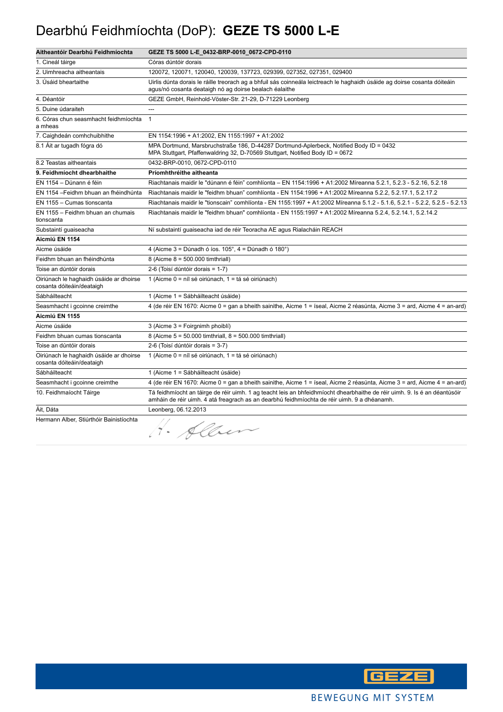#### Dearbhú Feidhmíochta (DoP): **GEZE TS 5000 L-E**

| Aitheantóir Dearbhú Feidhmíochta                                     | GEZE TS 5000 L-E_0432-BRP-0010_0672-CPD-0110                                                                                                                                                                             |
|----------------------------------------------------------------------|--------------------------------------------------------------------------------------------------------------------------------------------------------------------------------------------------------------------------|
| 1. Cineál táirge                                                     | Córas dúntóir dorais                                                                                                                                                                                                     |
| 2. Uimhreacha aitheantais                                            | 120072, 120071, 120040, 120039, 137723, 029399, 027352, 027351, 029400                                                                                                                                                   |
| 3. Úsáid bheartaithe                                                 | Uirlis dúnta dorais le ráille treorach ag a bhfuil sás coinneála leictreach le haghaidh úsáide ag doirse cosanta dóiteáin<br>agus/nó cosanta deataigh nó ag doirse bealach éalaithe                                      |
| 4. Déantóir                                                          | GEZE GmbH, Reinhold-Vöster-Str. 21-29, D-71229 Leonberg                                                                                                                                                                  |
| 5. Duine údaraiteh                                                   | $\overline{a}$                                                                                                                                                                                                           |
| 6. Córas chun seasmhacht feidhmíochta<br>a mheas                     | $\mathbf{1}$                                                                                                                                                                                                             |
| 7. Caighdeán comhchuibhithe                                          | EN 1154:1996 + A1:2002, EN 1155:1997 + A1:2002                                                                                                                                                                           |
| 8.1 Áit ar tugadh fógra dó                                           | MPA Dortmund, Marsbruchstraße 186, D-44287 Dortmund-Aplerbeck, Notified Body ID = 0432<br>MPA Stuttgart, Pfaffenwaldring 32, D-70569 Stuttgart, Notified Body ID = 0672                                                  |
| 8.2 Teastas aitheantais                                              | 0432-BRP-0010, 0672-CPD-0110                                                                                                                                                                                             |
| 9. Feidhmíocht dhearbhaithe                                          | Príomhthréithe aitheanta                                                                                                                                                                                                 |
| EN 1154 - Dúnann é féin                                              | Riachtanais maidir le "dúnann é féin" comhlíonta - EN 1154:1996 + A1:2002 Míreanna 5.2.1, 5.2.3 - 5.2.16, 5.2.18                                                                                                         |
| EN 1154 - Feidhm bhuan an fhéindhúnta                                | Riachtanais maidir le "feidhm bhuan" comhlíonta - EN 1154:1996 + A1:2002 Míreanna 5.2.2, 5.2.17.1, 5.2.17.2                                                                                                              |
| EN 1155 - Cumas tionscanta                                           | Riachtanais maidir le "tionscain" comhlíonta - EN 1155:1997 + A1:2002 Míreanna 5.1.2 - 5.1.6, 5.2.1 - 5.2.2, 5.2.5 - 5.2.13                                                                                              |
| EN 1155 – Feidhm bhuan an chumais<br>tionscanta                      | Riachtanais maidir le "feidhm bhuan" comhlíonta - EN 1155:1997 + A1:2002 Míreanna 5.2.4, 5.2.14.1, 5.2.14.2                                                                                                              |
| Substaintí guaiseacha                                                | Ní substaintí guaiseacha iad de réir Teoracha AE agus Rialacháin REACH                                                                                                                                                   |
| Aicmiú EN 1154                                                       |                                                                                                                                                                                                                          |
| Aicme úsáide                                                         | 4 (Aicme $3 =$ Dúnadh ó íos. 105°, $4 =$ Dúnadh ó 180°)                                                                                                                                                                  |
| Feidhm bhuan an fhéindhúnta                                          | 8 (Aicme 8 = 500.000 timthriall)                                                                                                                                                                                         |
| Toise an dúntóir dorais                                              | 2-6 (Toisí dúntóir dorais = 1-7)                                                                                                                                                                                         |
| Oiriúnach le haghaidh úsáide ar dhoirse<br>cosanta dóiteáin/deataigh | 1 (Aicme 0 = níl sé oiriúnach, 1 = tá sé oiriúnach)                                                                                                                                                                      |
| Sábháilteacht                                                        | 1 (Aicme 1 = Sábháilteacht úsáide)                                                                                                                                                                                       |
| Seasmhacht i gcoinne creimthe                                        | 4 (de réir EN 1670: Aicme 0 = gan a bheith sainithe, Aicme 1 = íseal, Aicme 2 réasúnta, Aicme 3 = ard, Aicme 4 = an-ard)                                                                                                 |
| Aicmiú EN 1155                                                       |                                                                                                                                                                                                                          |
| Aicme úsáide                                                         | 3 (Aicme 3 = Foirgnimh phoiblí)                                                                                                                                                                                          |
| Feidhm bhuan cumas tionscanta                                        | 8 (Aicme 5 = 50.000 timthriall, 8 = 500.000 timthriall)                                                                                                                                                                  |
| Toise an dúntóir dorais                                              | 2-6 (Toisí dúntóir dorais = 3-7)                                                                                                                                                                                         |
| Oiriúnach le haghaidh úsáide ar dhoirse<br>cosanta dóiteáin/deataigh | 1 (Aicme 0 = níl sé oiriúnach, 1 = tá sé oiriúnach)                                                                                                                                                                      |
| Sábháilteacht                                                        | 1 (Aicme 1 = Sábháilteacht úsáide)                                                                                                                                                                                       |
| Seasmhacht i gcoinne creimthe                                        | 4 (de réir EN 1670: Aicme 0 = gan a bheith sainithe, Aicme 1 = íseal, Aicme 2 réasúnta, Aicme 3 = ard, Aicme 4 = an-ard)                                                                                                 |
| 10. Feidhmaíocht Táirge                                              | Tá feidhmíocht an táirge de réir uimh. 1 ag teacht leis an bhfeidhmíocht dhearbhaithe de réir uimh. 9. Is é an déantúsóir<br>amháin de réir uimh. 4 atá freagrach as an dearbhú feidhmíochta de réir uimh. 9 a dhéanamh. |
| Ait, Dáta                                                            | Leonberg, 06.12.2013                                                                                                                                                                                                     |
| Hermann Alber, Stiúrthóir Bainistíochta                              | 1. Alber                                                                                                                                                                                                                 |

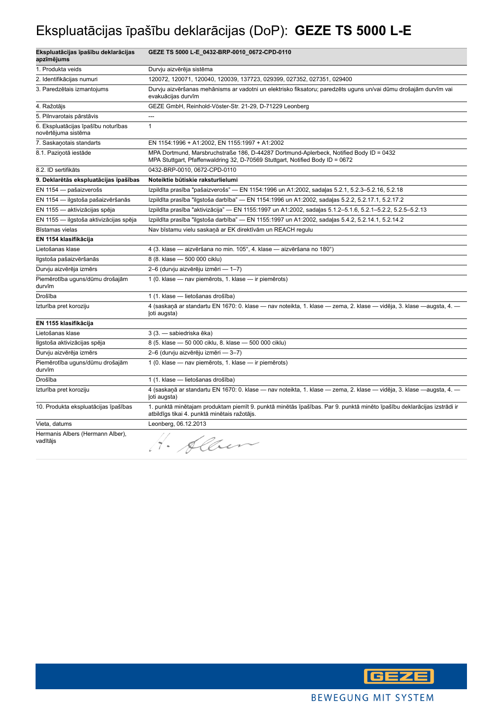## Ekspluatācijas īpašību deklarācijas (DoP): **GEZE TS 5000 L-E**

| Ekspluatācijas īpašību deklarācijas<br>apzīmējums          | GEZE TS 5000 L-E_0432-BRP-0010_0672-CPD-0110                                                                                                                            |
|------------------------------------------------------------|-------------------------------------------------------------------------------------------------------------------------------------------------------------------------|
| 1. Produkta veids                                          | Durvju aizvērēja sistēma                                                                                                                                                |
| 2. Identifikācijas numuri                                  | 120072, 120071, 120040, 120039, 137723, 029399, 027352, 027351, 029400                                                                                                  |
| 3. Paredzētais izmantojums                                 | Durvju aizvēršanas mehānisms ar vadotni un elektrisko fiksatoru; paredzēts uguns un/vai dūmu drošajām durvīm vai<br>evakuācijas durvīm                                  |
| 4. Ražotājs                                                | GEZE GmbH, Reinhold-Vöster-Str. 21-29, D-71229 Leonberg                                                                                                                 |
| 5. Pilnvarotais pārstāvis                                  | ---                                                                                                                                                                     |
| 6. Ekspluatācijas īpašību noturības<br>novērtējuma sistēma | $\mathbf{1}$                                                                                                                                                            |
| 7. Saskanotais standarts                                   | EN 1154:1996 + A1:2002, EN 1155:1997 + A1:2002                                                                                                                          |
| 8.1. Paziņotā iestāde                                      | MPA Dortmund, Marsbruchstraße 186, D-44287 Dortmund-Aplerbeck, Notified Body ID = 0432<br>MPA Stuttgart, Pfaffenwaldring 32, D-70569 Stuttgart, Notified Body ID = 0672 |
| 8.2. ID sertifikāts                                        | 0432-BRP-0010, 0672-CPD-0110                                                                                                                                            |
| 9. Deklarētās ekspluatācijas īpašības                      | Noteiktie būtiskie raksturlielumi                                                                                                                                       |
| EN 1154 - pašaizverošs                                     | Izpildīta prasība "pašaizverošs" — EN 1154:1996 un A1:2002, sadaļas 5.2.1, 5.2.3-5.2.16, 5.2.18                                                                         |
| EN 1154 - ilgstoša pašaizvēršanās                          | Izpildīta prasība "ilgstoša darbība" — EN 1154:1996 un A1:2002, sadaļas 5.2.2, 5.2.17.1, 5.2.17.2                                                                       |
| EN 1155 - aktivizācijas spēja                              | Izpildīta prasība "aktivizācija" — EN 1155:1997 un A1:2002, sadaļas 5.1.2-5.1.6, 5.2.1-5.2.2, 5.2.5-5.2.13                                                              |
| EN 1155 - ilgstoša aktivizācijas spēja                     | Izpildīta prasība "ilgstoša darbība" — EN 1155:1997 un A1:2002, sadaļas 5.4.2, 5.2.14.1, 5.2.14.2                                                                       |
| Bīstamas vielas                                            | Nav bīstamu vielu saskaņā ar EK direktīvām un REACH regulu                                                                                                              |
| EN 1154 klasifikācija                                      |                                                                                                                                                                         |
| Lietošanas klase                                           | 4 (3. klase - aizvēršana no min. 105°, 4. klase - aizvēršana no 180°)                                                                                                   |
| Ilgstoša pašaizvēršanās                                    | 8 (8. klase - 500 000 ciklu)                                                                                                                                            |
| Durvju aizvērēja izmērs                                    | 2-6 (durvju aizvērēju izmēri — 1-7)                                                                                                                                     |
| Piemērotība uguns/dūmu drošajām<br>durvīm                  | 1 (0. klase - nav piemērots, 1. klase - ir piemērots)                                                                                                                   |
| Drošība                                                    | 1 (1. klase - lietošanas drošība)                                                                                                                                       |
| Izturība pret koroziju                                     | 4 (saskaņā ar standartu EN 1670: 0. klase — nav noteikta, 1. klase — zema, 2. klase — vidēja, 3. klase —augsta, 4. —<br>loti augsta)                                    |
| EN 1155 klasifikācija                                      |                                                                                                                                                                         |
| Lietošanas klase                                           | 3 (3. - sabiedriska ēka)                                                                                                                                                |
| Ilgstoša aktivizācijas spēja                               | 8 (5. klase - 50 000 ciklu, 8. klase - 500 000 ciklu)                                                                                                                   |
| Durvju aizvērēja izmērs                                    | 2-6 (durvju aizvērēju izmēri — 3-7)                                                                                                                                     |
| Piemērotība uguns/dūmu drošajām<br>durvīm                  | 1 (0. klase - nav piemērots, 1. klase - ir piemērots)                                                                                                                   |
| Drošība                                                    | 1 (1. klase — lietošanas drošība)                                                                                                                                       |
| Izturība pret koroziju                                     | 4 (saskaņā ar standartu EN 1670: 0. klase — nav noteikta, 1. klase — zema, 2. klase — vidēja, 3. klase —augsta, 4. —<br>(oti augsta)                                    |
| 10. Produkta ekspluatācijas īpašības                       | 1. punktā minētajam produktam piemīt 9. punktā minētās īpašības. Par 9. punktā minēto īpašību deklarācijas izstrādi ir<br>atbildīgs tikai 4. punktā minētais ražotājs.  |
| Vieta, datums                                              | Leonberg, 06.12.2013                                                                                                                                                    |
| Hermanis Albers (Hermann Alber),<br>vadītājs               | Hain                                                                                                                                                                    |

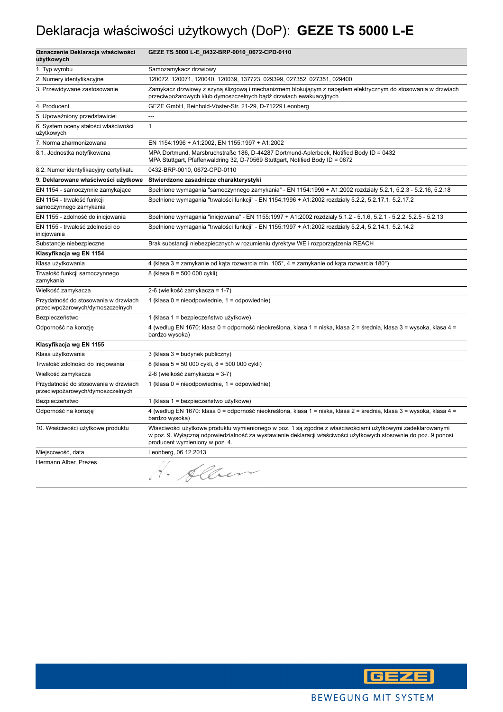## Deklaracja właściwości użytkowych (DoP): **GEZE TS 5000 L-E**

| Oznaczenie Deklaracja właściwości<br>użytkowych                          | GEZE TS 5000 L-E_0432-BRP-0010_0672-CPD-0110                                                                                                                                                                                                                   |
|--------------------------------------------------------------------------|----------------------------------------------------------------------------------------------------------------------------------------------------------------------------------------------------------------------------------------------------------------|
| 1. Typ wyrobu                                                            | Samozamykacz drzwiowy                                                                                                                                                                                                                                          |
| 2. Numery identyfikacyjne                                                | 120072, 120071, 120040, 120039, 137723, 029399, 027352, 027351, 029400                                                                                                                                                                                         |
| 3. Przewidywane zastosowanie                                             | Zamykacz drzwiowy z szyną ślizgową i mechanizmem blokującym z napędem elektrycznym do stosowania w drzwiach<br>przeciwpożarowych i/lub dymoszczelnych bądź drzwiach ewakuacyjnych                                                                              |
| 4. Producent                                                             | GEZE GmbH, Reinhold-Vöster-Str. 21-29, D-71229 Leonberg                                                                                                                                                                                                        |
| 5. Upoważniony przedstawiciel                                            | $\sim$                                                                                                                                                                                                                                                         |
| 6. System oceny stałości właściwości<br>użytkowych                       | $\mathbf{1}$                                                                                                                                                                                                                                                   |
| 7. Norma zharmonizowana                                                  | EN 1154:1996 + A1:2002, EN 1155:1997 + A1:2002                                                                                                                                                                                                                 |
| 8.1. Jednostka notyfikowana                                              | MPA Dortmund, Marsbruchstraße 186, D-44287 Dortmund-Aplerbeck, Notified Body ID = 0432<br>MPA Stuttgart, Pfaffenwaldring 32, D-70569 Stuttgart, Notified Body ID = 0672                                                                                        |
| 8.2. Numer identyfikacyjny certyfikatu                                   | 0432-BRP-0010, 0672-CPD-0110                                                                                                                                                                                                                                   |
| 9. Deklarowane właściwości użytkowe                                      | Stwierdzone zasadnicze charakterystyki                                                                                                                                                                                                                         |
| EN 1154 - samoczynnie zamykające                                         | Spełnione wymagania "samoczynnego zamykania" - EN 1154:1996 + A1:2002 rozdziały 5.2.1, 5.2.3 - 5.2.16, 5.2.18                                                                                                                                                  |
| EN 1154 - trwałość funkcji<br>samoczynnego zamykania                     | Spełnione wymagania "trwałości funkcji" - EN 1154:1996 + A1:2002 rozdziały 5.2.2, 5.2.17.1, 5.2.17.2                                                                                                                                                           |
| EN 1155 - zdolność do inicjowania                                        | Spełnione wymagania "inicjowania" - EN 1155:1997 + A1:2002 rozdziały 5.1.2 - 5.1.6, 5.2.1 - 5.2.2, 5.2.5 - 5.2.13                                                                                                                                              |
| EN 1155 - trwałość zdolności do<br>inicjowania                           | Spełnione wymagania "trwałości funkcji" - EN 1155:1997 + A1:2002 rozdziały 5.2.4, 5.2.14.1, 5.2.14.2                                                                                                                                                           |
| Substancje niebezpieczne                                                 | Brak substancji niebezpiecznych w rozumieniu dyrektyw WE i rozporządzenia REACH                                                                                                                                                                                |
| Klasyfikacja wg EN 1154                                                  |                                                                                                                                                                                                                                                                |
| Klasa użytkowania                                                        | 4 (klasa 3 = zamykanie od kąta rozwarcia min. 105°, 4 = zamykanie od kąta rozwarcia 180°)                                                                                                                                                                      |
| Trwałość funkcji samoczynnego<br>zamykania                               | 8 (klasa 8 = 500 000 cykli)                                                                                                                                                                                                                                    |
| Wielkość zamykacza                                                       | 2-6 (wielkość zamykacza = 1-7)                                                                                                                                                                                                                                 |
| Przydatność do stosowania w drzwiach<br>przeciwpożarowych/dymoszczelnych | 1 (klasa $0 =$ nieodpowiednie, $1 =$ odpowiednie)                                                                                                                                                                                                              |
| Bezpieczeństwo                                                           | 1 (klasa 1 = bezpieczeństwo użytkowe)                                                                                                                                                                                                                          |
| Odporność na korozję                                                     | 4 (według EN 1670: klasa 0 = odporność nieokreślona, klasa 1 = niska, klasa 2 = średnia, klasa 3 = wysoka, klasa 4 =<br>bardzo wysoka)                                                                                                                         |
| Klasyfikacja wg EN 1155                                                  |                                                                                                                                                                                                                                                                |
| Klasa użytkowania                                                        | $3$ (klasa $3$ = budynek publiczny)                                                                                                                                                                                                                            |
| Trwałość zdolności do inicjowania                                        | 8 (klasa 5 = 50 000 cykli, 8 = 500 000 cykli)                                                                                                                                                                                                                  |
| Wielkość zamykacza                                                       | 2-6 (wielkość zamykacza = 3-7)                                                                                                                                                                                                                                 |
| Przydatność do stosowania w drzwiach<br>przeciwpożarowych/dymoszczelnych | 1 (klasa 0 = nieodpowiednie, 1 = odpowiednie)                                                                                                                                                                                                                  |
| Bezpieczeństwo                                                           | 1 (klasa 1 = bezpieczeństwo użytkowe)                                                                                                                                                                                                                          |
| Odporność na korozję                                                     | 4 (według EN 1670: klasa 0 = odporność nieokreślona, klasa 1 = niska, klasa 2 = średnia, klasa 3 = wysoka, klasa 4 =<br>bardzo wysoka)                                                                                                                         |
| 10. Właściwości użytkowe produktu                                        | Właściwości użytkowe produktu wymienionego w poz. 1 są zgodne z właściwościami użytkowymi zadeklarowanymi<br>w poz. 9. Wyłączną odpowiedzialność za wystawienie deklaracji właściwości użytkowych stosownie do poz. 9 ponosi<br>producent wymieniony w poz. 4. |
| Miejscowość, data                                                        | Leonberg, 06.12.2013                                                                                                                                                                                                                                           |
| Hermann Alber, Prezes                                                    | H. Alber                                                                                                                                                                                                                                                       |

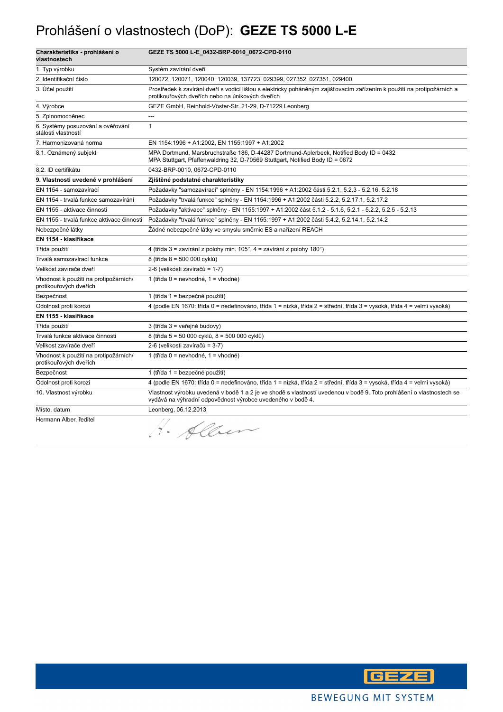#### Prohlášení o vlastnostech (DoP): **GEZE TS 5000 L-E**

| Charakteristika - prohlášení o<br>vlastnostech                  | GEZE TS 5000 L-E_0432-BRP-0010_0672-CPD-0110                                                                                                                                       |
|-----------------------------------------------------------------|------------------------------------------------------------------------------------------------------------------------------------------------------------------------------------|
| 1. Typ výrobku                                                  | Systém zavírání dveří                                                                                                                                                              |
| 2. Identifikační číslo                                          | 120072, 120071, 120040, 120039, 137723, 029399, 027352, 027351, 029400                                                                                                             |
| 3. Účel použití                                                 | Prostředek k zavírání dveří s vodicí lištou s elektricky poháněným zajišťovacím zařízením k použití na protipožárních a<br>protikouřových dveřích nebo na únikových dveřích        |
| 4. Výrobce                                                      | GEZE GmbH, Reinhold-Vöster-Str. 21-29, D-71229 Leonberg                                                                                                                            |
| 5. Zplnomocněnec                                                | ---                                                                                                                                                                                |
| 6. Systémy posuzování a ověřování<br>stálosti vlastností        | $\mathbf{1}$                                                                                                                                                                       |
| 7. Harmonizovaná norma                                          | EN 1154:1996 + A1:2002, EN 1155:1997 + A1:2002                                                                                                                                     |
| 8.1. Oznámený subjekt                                           | MPA Dortmund, Marsbruchstraße 186, D-44287 Dortmund-Aplerbeck, Notified Body ID = 0432<br>MPA Stuttgart, Pfaffenwaldring 32, D-70569 Stuttgart, Notified Body ID = 0672            |
| 8.2. ID certifikátu                                             | 0432-BRP-0010, 0672-CPD-0110                                                                                                                                                       |
| 9. Vlastnosti uvedené v prohlášení                              | Zjištěné podstatné charakteristiky                                                                                                                                                 |
| EN 1154 - samozavírací                                          | Požadavky "samozavírací" splněny - EN 1154:1996 + A1:2002 části 5.2.1, 5.2.3 - 5.2.16, 5.2.18                                                                                      |
| EN 1154 - trvalá funkce samozavírání                            | Požadavky "trvalá funkce" splněny - EN 1154:1996 + A1:2002 části 5.2.2, 5.2.17.1, 5.2.17.2                                                                                         |
| EN 1155 - aktivace činnosti                                     | Požadavky "aktivace" splněny - EN 1155:1997 + A1:2002 část 5.1.2 - 5.1.6, 5.2.1 - 5.2.2, 5.2.5 - 5.2.13                                                                            |
| EN 1155 - trvalá funkce aktivace činnosti                       | Požadavky "trvalá funkce" splněny - EN 1155:1997 + A1:2002 části 5.4.2, 5.2.14.1, 5.2.14.2                                                                                         |
| Nebezpečné látky                                                | Žádné nebezpečné látky ve smyslu směrnic ES a nařízení REACH                                                                                                                       |
| EN 1154 - klasifikace                                           |                                                                                                                                                                                    |
| Třída použití                                                   | 4 (třída 3 = zavírání z polohy min. 105°, 4 = zavírání z polohy 180°)                                                                                                              |
| Trvalá samozavírací funkce                                      | 8 (třída 8 = 500 000 cyklů)                                                                                                                                                        |
| Velikost zavírače dveří                                         | 2-6 (velikosti zavíračů = 1-7)                                                                                                                                                     |
| Vhodnost k použití na protipožárních/<br>protikouřových dveřích | 1 (třída 0 = nevhodné, 1 = vhodné)                                                                                                                                                 |
| Bezpečnost                                                      | 1 (třída 1 = bezpečné použití)                                                                                                                                                     |
| Odolnost proti korozi                                           | 4 (podle EN 1670: třída 0 = nedefinováno, třída 1 = nízká, třída 2 = střední, třída 3 = vysoká, třída 4 = velmi vysoká)                                                            |
| EN 1155 - klasifikace                                           |                                                                                                                                                                                    |
| Třída použití                                                   | 3 (třída 3 = veřejné budovy)                                                                                                                                                       |
| Trvalá funkce aktivace činnosti                                 | 8 (třída 5 = 50 000 cyklů, 8 = 500 000 cyklů)                                                                                                                                      |
| Velikost zavírače dveří                                         | 2-6 (velikosti zavíračů = 3-7)                                                                                                                                                     |
| Vhodnost k použití na protipožárních/<br>protikouřových dveřích | 1 (třída 0 = nevhodné, 1 = vhodné)                                                                                                                                                 |
| Bezpečnost                                                      | 1 (třída 1 = bezpečné použití)                                                                                                                                                     |
| Odolnost proti korozi                                           | 4 (podle EN 1670: třída 0 = nedefinováno, třída 1 = nízká, třída 2 = střední, třída 3 = vysoká, třída 4 = velmi vysoká)                                                            |
| 10. Vlastnost výrobku                                           | Vlastnost výrobku uvedená v bodě 1 a 2 je ve shodě s vlastností uvedenou v bodě 9. Toto prohlášení o vlastnostech se<br>vydává na výhradní odpovědnost výrobce uvedeného v bodě 4. |
| Místo, datum                                                    | Leonberg, 06.12.2013                                                                                                                                                               |
| Hermann Alber, ředitel                                          | Allen<br>$\bullet$                                                                                                                                                                 |

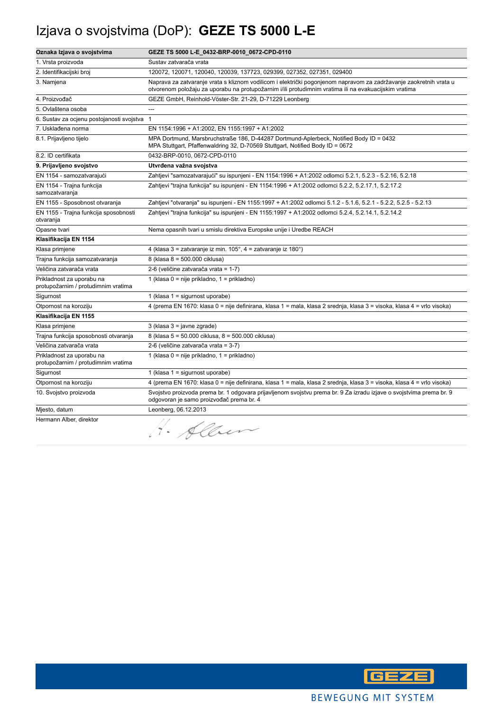# Izjava o svojstvima (DoP): **GEZE TS 5000 L-E**

| Oznaka Izjava o svojstvima                                       | GEZE TS 5000 L-E_0432-BRP-0010_0672-CPD-0110                                                                                                                                                                                |
|------------------------------------------------------------------|-----------------------------------------------------------------------------------------------------------------------------------------------------------------------------------------------------------------------------|
| 1. Vrsta proizvoda                                               | Sustav zatvarača vrata                                                                                                                                                                                                      |
| 2. Identifikacijski broj                                         | 120072, 120071, 120040, 120039, 137723, 029399, 027352, 027351, 029400                                                                                                                                                      |
| 3. Namjena                                                       | Naprava za zatvaranje vrata s kliznom vodilicom i električki pogonjenom napravom za zadržavanje zaokretnih vrata u<br>otvorenom položaju za uporabu na protupožarnim i/ili protudimnim vratima ili na evakuacijskim vratima |
| 4. Proizvođač                                                    | GEZE GmbH, Reinhold-Vöster-Str. 21-29, D-71229 Leonberg                                                                                                                                                                     |
| 5. Ovlaštena osoba                                               |                                                                                                                                                                                                                             |
| 6. Sustav za ocjenu postojanosti svojstva                        | $\overline{1}$                                                                                                                                                                                                              |
| 7. Usklađena norma                                               | EN 1154:1996 + A1:2002, EN 1155:1997 + A1:2002                                                                                                                                                                              |
| 8.1. Prijavljeno tijelo                                          | MPA Dortmund, Marsbruchstraße 186, D-44287 Dortmund-Aplerbeck, Notified Body ID = 0432<br>MPA Stuttgart, Pfaffenwaldring 32, D-70569 Stuttgart, Notified Body ID = 0672                                                     |
| 8.2. ID certifikata                                              | 0432-BRP-0010, 0672-CPD-0110                                                                                                                                                                                                |
| 9. Prijavljeno svojstvo                                          | Utvrđena važna svojstva                                                                                                                                                                                                     |
| EN 1154 - samozatvarajući                                        | Zahtjevi "samozatvarajući" su ispunjeni - EN 1154:1996 + A1:2002 odlomci 5.2.1, 5.2.3 - 5.2.16, 5.2.18                                                                                                                      |
| EN 1154 - Trajna funkcija<br>samozatvaranja                      | Zahtjevi "trajna funkcija" su ispunjeni - EN 1154:1996 + A1:2002 odlomci 5.2.2, 5.2.17.1, 5.2.17.2                                                                                                                          |
| EN 1155 - Sposobnost otvaranja                                   | Zahtjevi "otvaranja" su ispunjeni - EN 1155:1997 + A1:2002 odlomci 5.1.2 - 5.1.6, 5.2.1 - 5.2.2, 5.2.5 - 5.2.13                                                                                                             |
| EN 1155 - Trajna funkcija sposobnosti<br>otvaranja               | Zahtjevi "trajna funkcija" su ispunjeni - EN 1155:1997 + A1:2002 odlomci 5.2.4, 5.2.14.1, 5.2.14.2                                                                                                                          |
| Opasne tvari                                                     | Nema opasnih tvari u smislu direktiva Europske unije i Uredbe REACH                                                                                                                                                         |
| Klasifikacija EN 1154                                            |                                                                                                                                                                                                                             |
| Klasa primjene                                                   | 4 (klasa 3 = zatvaranje iz min. 105°, 4 = zatvaranje iz 180°)                                                                                                                                                               |
| Trajna funkcija samozatvaranja                                   | 8 (klasa 8 = 500.000 ciklusa)                                                                                                                                                                                               |
| Veličina zatvarača vrata                                         | 2-6 (veličine zatvarača vrata = 1-7)                                                                                                                                                                                        |
| Prikladnost za uporabu na<br>protupožarnim / protudimnim vratima | 1 (klasa 0 = nije prikladno, 1 = prikladno)                                                                                                                                                                                 |
| Sigurnost                                                        | 1 (klasa 1 = sigurnost uporabe)                                                                                                                                                                                             |
| Otpornost na koroziju                                            | 4 (prema EN 1670: klasa 0 = nije definirana, klasa 1 = mala, klasa 2 srednja, klasa 3 = visoka, klasa 4 = vrlo visoka)                                                                                                      |
| Klasifikacija EN 1155                                            |                                                                                                                                                                                                                             |
| Klasa primjene                                                   | 3 (klasa 3 = javne zgrade)                                                                                                                                                                                                  |
| Trajna funkcija sposobnosti otvaranja                            | 8 (klasa 5 = 50.000 ciklusa, 8 = 500.000 ciklusa)                                                                                                                                                                           |
| Veličina zatvarača vrata                                         | 2-6 (veličine zatvarača vrata = 3-7)                                                                                                                                                                                        |
| Prikladnost za uporabu na<br>protupožarnim / protudimnim vratima | 1 (klasa 0 = nije prikladno, 1 = prikladno)                                                                                                                                                                                 |
| Sigurnost                                                        | 1 (klasa 1 = sigurnost uporabe)                                                                                                                                                                                             |
| Otpornost na koroziju                                            | 4 (prema EN 1670: klasa 0 = nije definirana, klasa 1 = mala, klasa 2 srednja, klasa 3 = visoka, klasa 4 = vrlo visoka)                                                                                                      |
| 10. Svojstvo proizvoda                                           | Svojstvo proizvoda prema br. 1 odgovara prijavljenom svojstvu prema br. 9 Za izradu izjave o svojstvima prema br. 9<br>odgovoran je samo proizvođač prema br. 4                                                             |
| Mjesto, datum                                                    | Leonberg, 06.12.2013                                                                                                                                                                                                        |
| Hermann Alber, direktor                                          | Alber<br>$\blacksquare$                                                                                                                                                                                                     |